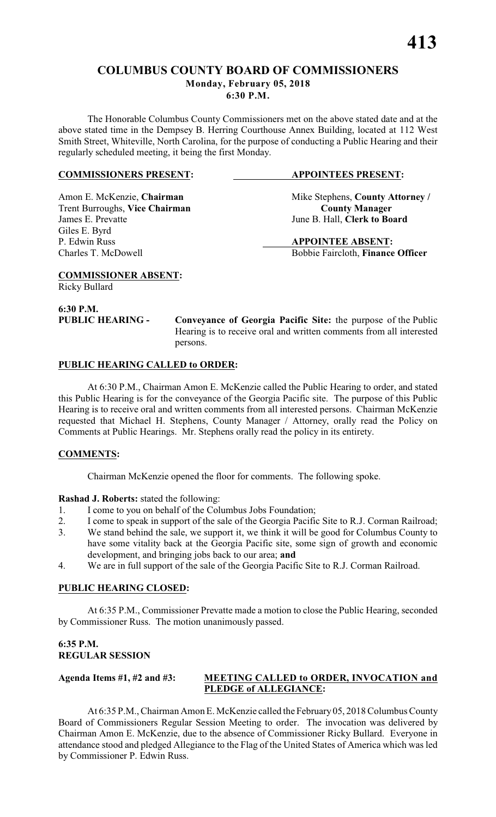### **COLUMBUS COUNTY BOARD OF COMMISSIONERS Monday, February 05, 2018**

**6:30 P.M.**

The Honorable Columbus County Commissioners met on the above stated date and at the above stated time in the Dempsey B. Herring Courthouse Annex Building, located at 112 West Smith Street, Whiteville, North Carolina, for the purpose of conducting a Public Hearing and their regularly scheduled meeting, it being the first Monday.

### **COMMISSIONERS PRESENT: APPOINTEES PRESENT:**

Trent Burroughs, Vice Chairman<br>James E. Prevatte Giles E. Byrd P. Edwin Russ **APPOINTEE ABSENT:**

Amon E. McKenzie, **Chairman** Mike Stephens, **County Attorney** / **Trent Burroughs, Vice Chairman County Manager** June B. Hall, **Clerk to Board** 

Charles T. McDowell Bobbie Faircloth, **Finance Officer**

**COMMISSIONER ABSENT:** Ricky Bullard

**6:30 P.M.**

**PUBLIC HEARING - Conveyance of Georgia Pacific Site:** the purpose of the Public Hearing is to receive oral and written comments from all interested persons.

### **PUBLIC HEARING CALLED to ORDER:**

At 6:30 P.M., Chairman Amon E. McKenzie called the Public Hearing to order, and stated this Public Hearing is for the conveyance of the Georgia Pacific site. The purpose of this Public Hearing is to receive oral and written comments from all interested persons. Chairman McKenzie requested that Michael H. Stephens, County Manager / Attorney, orally read the Policy on Comments at Public Hearings. Mr. Stephens orally read the policy in its entirety.

### **COMMENTS:**

Chairman McKenzie opened the floor for comments. The following spoke.

### **Rashad J. Roberts:** stated the following:

- 1. I come to you on behalf of the Columbus Jobs Foundation;
- 2. I come to speak in support of the sale of the Georgia Pacific Site to R.J. Corman Railroad;
- 3. We stand behind the sale, we support it, we think it will be good for Columbus County to have some vitality back at the Georgia Pacific site, some sign of growth and economic development, and bringing jobs back to our area; **and**
- 4. We are in full support of the sale of the Georgia Pacific Site to R.J. Corman Railroad.

### **PUBLIC HEARING CLOSED:**

At 6:35 P.M., Commissioner Prevatte made a motion to close the Public Hearing, seconded by Commissioner Russ. The motion unanimously passed.

### **6:35 P.M. REGULAR SESSION**

### **Agenda Items #1, #2 and #3: MEETING CALLED to ORDER, INVOCATION and PLEDGE of ALLEGIANCE:**

At 6:35 P.M.,Chairman Amon E. McKenzie called the February05, 2018 Columbus County Board of Commissioners Regular Session Meeting to order. The invocation was delivered by Chairman Amon E. McKenzie, due to the absence of Commissioner Ricky Bullard. Everyone in attendance stood and pledged Allegiance to the Flag of the United States of America which was led by Commissioner P. Edwin Russ.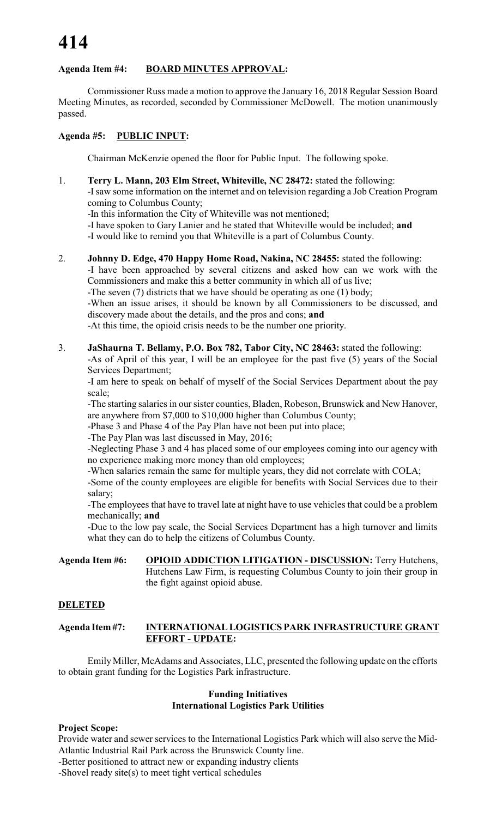### **Agenda Item #4: BOARD MINUTES APPROVAL:**

Commissioner Russ made a motion to approve the January 16, 2018 Regular Session Board Meeting Minutes, as recorded, seconded by Commissioner McDowell. The motion unanimously passed.

### **Agenda #5: PUBLIC INPUT:**

Chairman McKenzie opened the floor for Public Input. The following spoke.

1. **Terry L. Mann, 203 Elm Street, Whiteville, NC 28472:** stated the following: -Isaw some information on the internet and on television regarding a Job Creation Program coming to Columbus County;

-In this information the City of Whiteville was not mentioned;

-I have spoken to Gary Lanier and he stated that Whiteville would be included; **and**

-I would like to remind you that Whiteville is a part of Columbus County.

- 2. **Johnny D. Edge, 470 Happy Home Road, Nakina, NC 28455:** stated the following: -I have been approached by several citizens and asked how can we work with the Commissioners and make this a better community in which all of us live; -The seven (7) districts that we have should be operating as one (1) body; -When an issue arises, it should be known by all Commissioners to be discussed, and discovery made about the details, and the pros and cons; **and** -At this time, the opioid crisis needs to be the number one priority.
- 3. **JaShaurna T. Bellamy, P.O. Box 782, Tabor City, NC 28463:** stated the following:

-As of April of this year, I will be an employee for the past five (5) years of the Social Services Department;

-I am here to speak on behalf of myself of the Social Services Department about the pay scale;

-The starting salaries in our sister counties, Bladen, Robeson, Brunswick and New Hanover, are anywhere from \$7,000 to \$10,000 higher than Columbus County;

-Phase 3 and Phase 4 of the Pay Plan have not been put into place;

-The Pay Plan was last discussed in May, 2016;

-Neglecting Phase 3 and 4 has placed some of our employees coming into our agency with no experience making more money than old employees;

-When salaries remain the same for multiple years, they did not correlate with COLA;

-Some of the county employees are eligible for benefits with Social Services due to their salary;

-The employees that have to travel late at night have to use vehicles that could be a problem mechanically; **and**

-Due to the low pay scale, the Social Services Department has a high turnover and limits what they can do to help the citizens of Columbus County.

**Agenda Item #6: OPIOID ADDICTION LITIGATION - DISCUSSION:** Terry Hutchens, Hutchens Law Firm, is requesting Columbus County to join their group in the fight against opioid abuse.

### **DELETED**

### **Agenda Item #7: INTERNATIONAL LOGISTICS PARK INFRASTRUCTURE GRANT EFFORT - UPDATE:**

Emily Miller, McAdams and Associates, LLC, presented the following update on the efforts to obtain grant funding for the Logistics Park infrastructure.

### **Funding Initiatives International Logistics Park Utilities**

### **Project Scope:**

Provide water and sewer services to the International Logistics Park which will also serve the Mid-Atlantic Industrial Rail Park across the Brunswick County line. -Better positioned to attract new or expanding industry clients

-Shovel ready site(s) to meet tight vertical schedules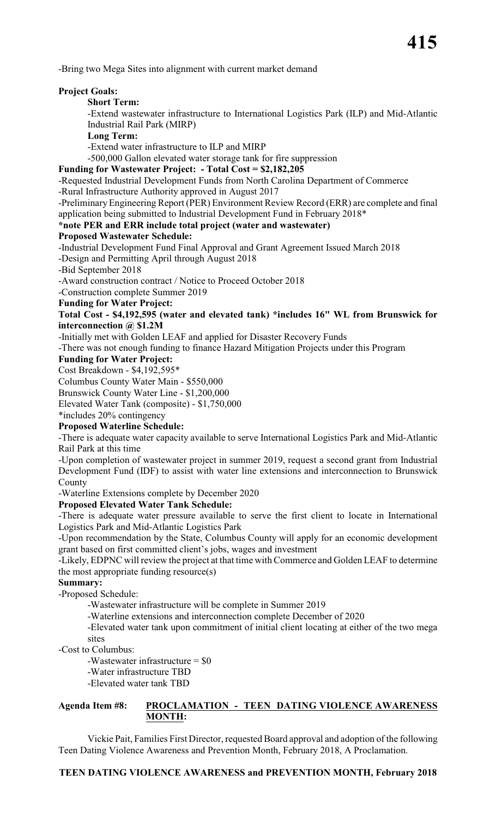-Bring two Mega Sites into alignment with current market demand

### **Project Goals:**

### **Short Term:**

-Extend wastewater infrastructure to International Logistics Park (ILP) and Mid-Atlantic Industrial Rail Park (MIRP)

**Long Term:**

-Extend water infrastructure to ILP and MIRP

-500,000 Gallon elevated water storage tank for fire suppression

### **Funding for Wastewater Project: - Total Cost = \$2,182,205**

-Requested Industrial Development Funds from North Carolina Department of Commerce -Rural Infrastructure Authority approved in August 2017

-Preliminary Engineering Report (PER) Environment Review Record (ERR) are complete and final application being submitted to Industrial Development Fund in February 2018\*

### **\*note PER and ERR include total project (water and wastewater)**

### **Proposed Wastewater Schedule:**

-Industrial Development Fund Final Approval and Grant Agreement Issued March 2018

-Design and Permitting April through August 2018

-Bid September 2018

-Award construction contract / Notice to Proceed October 2018

-Construction complete Summer 2019

**Funding for Water Project:**

### **Total Cost - \$4,192,595 (water and elevated tank) \*includes 16" WL from Brunswick for interconnection @ \$1.2M**

-Initially met with Golden LEAF and applied for Disaster Recovery Funds

-There was not enough funding to finance Hazard Mitigation Projects under this Program

### **Funding for Water Project:**

Cost Breakdown - \$4,192,595\*

Columbus County Water Main - \$550,000

Brunswick County Water Line - \$1,200,000

Elevated Water Tank (composite) - \$1,750,000

\*includes 20% contingency

### **Proposed Waterline Schedule:**

-There is adequate water capacity available to serve International Logistics Park and Mid-Atlantic Rail Park at this time

-Upon completion of wastewater project in summer 2019, request a second grant from Industrial Development Fund (IDF) to assist with water line extensions and interconnection to Brunswick County

-Waterline Extensions complete by December 2020

### **Proposed Elevated Water Tank Schedule:**

-There is adequate water pressure available to serve the first client to locate in International Logistics Park and Mid-Atlantic Logistics Park

-Upon recommendation by the State, Columbus County will apply for an economic development grant based on first committed client's jobs, wages and investment

-Likely, EDPNC will review the project at that time with Commerce and Golden LEAF to determine the most appropriate funding resource(s)

### **Summary:**

-Proposed Schedule:

-Wastewater infrastructure will be complete in Summer 2019

-Waterline extensions and interconnection complete December of 2020

-Elevated water tank upon commitment of initial client locating at either of the two mega sites

-Cost to Columbus:

-Wastewater infrastructure = \$0

-Water infrastructure TBD

-Elevated water tank TBD

### **Agenda Item #8: PROCLAMATION - TEEN DATING VIOLENCE AWARENESS MONTH:**

Vickie Pait, Families First Director, requested Board approval and adoption of the following Teen Dating Violence Awareness and Prevention Month, February 2018, A Proclamation.

**TEEN DATING VIOLENCE AWARENESS and PREVENTION MONTH, February 2018**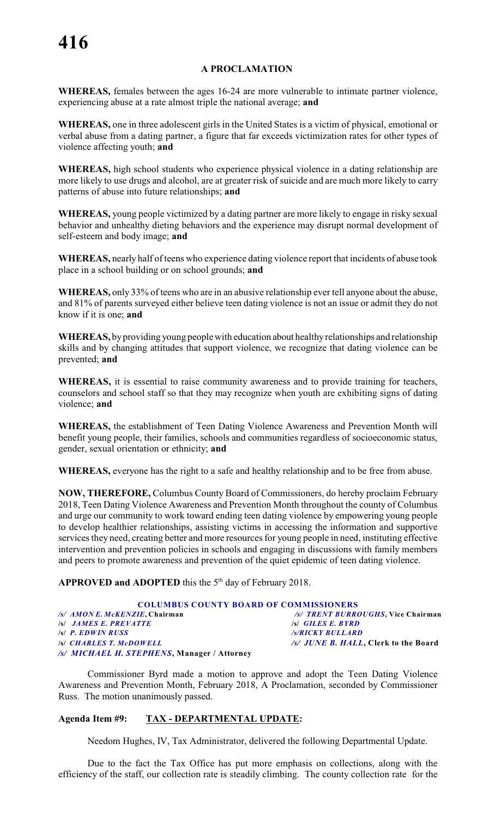### **A PROCLAMATION**

**WHEREAS,** females between the ages 16-24 are more vulnerable to intimate partner violence, experiencing abuse at a rate almost triple the national average; **and**

**WHEREAS,** one in three adolescent girls in the United States is a victim of physical, emotional or verbal abuse from a dating partner, a figure that far exceeds victimization rates for other types of violence affecting youth; **and**

**WHEREAS,** high school students who experience physical violence in a dating relationship are more likely to use drugs and alcohol, are at greater risk of suicide and are much more likely to carry patterns of abuse into future relationships; **and**

**WHEREAS,** young people victimized by a dating partner are more likely to engage in risky sexual behavior and unhealthy dieting behaviors and the experience may disrupt normal development of self-esteem and body image; **and**

**WHEREAS,** nearly half of teens who experience dating violence report that incidents of abuse took place in a school building or on school grounds; **and**

**WHEREAS,** only 33% of teens who are in an abusive relationship ever tell anyone about the abuse, and 81% of parents surveyed either believe teen dating violence is not an issue or admit they do not know if it is one; **and**

**WHEREAS,** by providing young people with education about healthy relationships and relationship skills and by changing attitudes that support violence, we recognize that dating violence can be prevented; **and**

**WHEREAS,** it is essential to raise community awareness and to provide training for teachers, counselors and school staff so that they may recognize when youth are exhibiting signs of dating violence; **and**

**WHEREAS,** the establishment of Teen Dating Violence Awareness and Prevention Month will benefit young people, their families, schools and communities regardless of socioeconomic status, gender, sexual orientation or ethnicity; **and**

**WHEREAS,** everyone has the right to a safe and healthy relationship and to be free from abuse.

**NOW, THEREFORE,** Columbus County Board of Commissioners, do hereby proclaim February 2018, Teen Dating Violence Awareness and Prevention Month throughout the county of Columbus and urge our community to work toward ending teen dating violence by empowering young people to develop healthier relationships, assisting victims in accessing the information and supportive services they need, creating better and more resources for young people in need, instituting effective intervention and prevention policies in schools and engaging in discussions with family members and peers to promote awareness and prevention of the quiet epidemic of teen dating violence.

**APPROVED and ADOPTED** this the  $5<sup>th</sup>$  day of February 2018.

|                                             | <b>COLUMBUS COUNTY BOARD OF COMMISSIONERS</b> |
|---------------------------------------------|-----------------------------------------------|
| /s/ AMONE. McKENZIE, Chairman               | /s/ TRENT BURROUGHS, Vice Chairman            |
| <b>SSI JAMES E. PREVATTE</b>                | $\left  \mathcal{S} \right $ GILES E. BYRD    |
| $\left S\right $ P. EDWIN RUSS              | /s/RICKY BULLARD                              |
| <b>S CHARLES T. McDOWELL</b>                | /s/ JUNE B. HALL, Clerk to the Board          |
| /s/ MICHAEL H. STEPHENS, Manager / Attorney |                                               |

Commissioner Byrd made a motion to approve and adopt the Teen Dating Violence Awareness and Prevention Month, February 2018, A Proclamation, seconded by Commissioner Russ. The motion unanimously passed.

### **Agenda Item #9: TAX - DEPARTMENTAL UPDATE:**

Needom Hughes, IV, Tax Administrator, delivered the following Departmental Update.

Due to the fact the Tax Office has put more emphasis on collections, along with the efficiency of the staff, our collection rate is steadily climbing. The county collection rate for the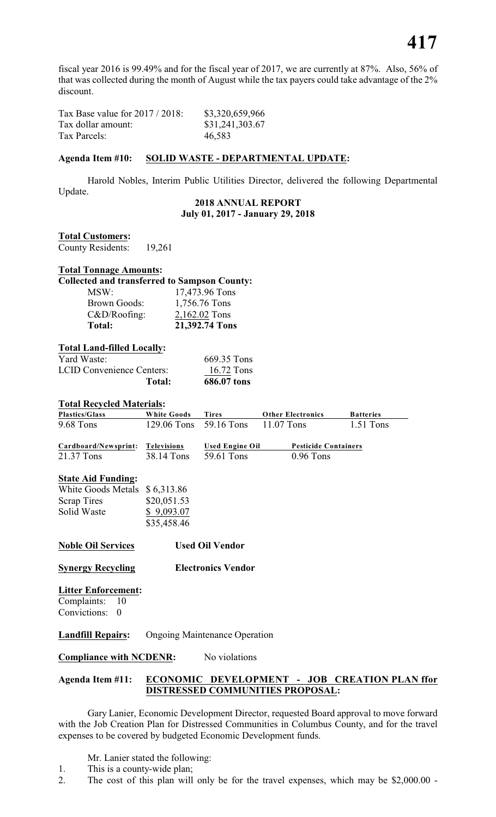fiscal year 2016 is 99.49% and for the fiscal year of 2017, we are currently at 87%. Also, 56% of that was collected during the month of August while the tax payers could take advantage of the 2% discount.

Tax Base value for 2017 / 2018: \$3,320,659,966 Tax dollar amount: \$31,241,303.67 Tax Parcels: 46,583

### **Agenda Item #10: SOLID WASTE - DEPARTMENTAL UPDATE:**

Harold Nobles, Interim Public Utilities Director, delivered the following Departmental Update.

### **2018 ANNUAL REPORT July 01, 2017 - January 29, 2018**

### **Total Customers:**

County Residents: 19,261

### **Total Tonnage Amounts:**

### **Collected and transferred to Sampson County:**

| MSW:                | 17,473.96 Tons |
|---------------------|----------------|
| <b>Brown Goods:</b> | 1,756.76 Tons  |
| $C&D/Roofing$ :     | 2,162.02 Tons  |
| Total:              | 21,392.74 Tons |

### **Total Land-filled Locally:**

| Total:                           | 686.07 tons |
|----------------------------------|-------------|
| <b>LCID Convenience Centers:</b> | 16.72 Tons  |
| Yard Waste:                      | 669.35 Tons |

### **Total Recycled Materials:**

| <b>Plastics/Glass</b>         | <b>White Goods</b> | <b>Tires</b>                         | <b>Other Electronics</b>    | <b>Batteries</b> |
|-------------------------------|--------------------|--------------------------------------|-----------------------------|------------------|
| 9.68 Tons                     |                    | 129.06 Tons 59.16 Tons               | 11.07 Tons                  | 1.51 Tons        |
| Cardboard/Newsprint:          | Televisions        | <b>Used Engine Oil</b>               | <b>Pesticide Containers</b> |                  |
| 21.37 Tons                    | 38.14 Tons         | 59.61 Tons                           | $0.96$ Tons                 |                  |
| <b>State Aid Funding:</b>     |                    |                                      |                             |                  |
| White Goods Metals \$6,313.86 |                    |                                      |                             |                  |
| Scrap Tires                   | \$20,051.53        |                                      |                             |                  |
| Solid Waste                   | \$9,093.07         |                                      |                             |                  |
|                               | \$35,458.46        |                                      |                             |                  |
| <b>Noble Oil Services</b>     |                    | <b>Used Oil Vendor</b>               |                             |                  |
| <b>Synergy Recycling</b>      |                    | <b>Electronics Vendor</b>            |                             |                  |
| <b>Litter Enforcement:</b>    |                    |                                      |                             |                  |
| Complaints: 10                |                    |                                      |                             |                  |
| Convictions:<br>$\theta$      |                    |                                      |                             |                  |
| <b>Landfill Repairs:</b>      |                    | <b>Ongoing Maintenance Operation</b> |                             |                  |

### **Compliance with NCDENR:** No violations

### **Agenda Item #11: ECONOMIC DEVELOPMENT - JOB CREATION PLAN ffor DISTRESSED COMMUNITIES PROPOSAL:**

Gary Lanier, Economic Development Director, requested Board approval to move forward with the Job Creation Plan for Distressed Communities in Columbus County, and for the travel expenses to be covered by budgeted Economic Development funds.

- Mr. Lanier stated the following:
- 1. This is a county-wide plan;
- 2. The cost of this plan will only be for the travel expenses, which may be \$2,000.00 -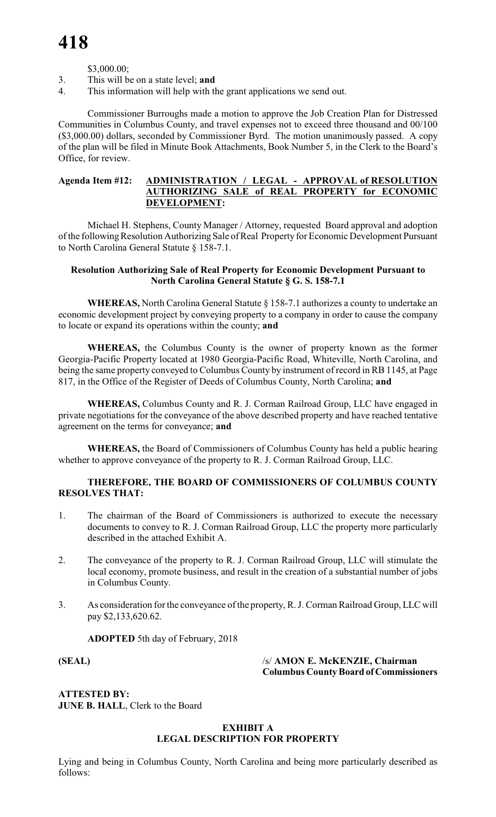\$3,000.00;

- 3. This will be on a state level; **and**
- 4. This information will help with the grant applications we send out.

Commissioner Burroughs made a motion to approve the Job Creation Plan for Distressed Communities in Columbus County, and travel expenses not to exceed three thousand and 00/100 (\$3,000.00) dollars, seconded by Commissioner Byrd. The motion unanimously passed. A copy of the plan will be filed in Minute Book Attachments, Book Number 5, in the Clerk to the Board's Office, for review.

### **Agenda Item #12: ADMINISTRATION / LEGAL - APPROVAL of RESOLUTION AUTHORIZING SALE of REAL PROPERTY for ECONOMIC DEVELOPMENT:**

Michael H. Stephens, County Manager / Attorney, requested Board approval and adoption of the following Resolution Authorizing Sale of Real Property for Economic Development Pursuant to North Carolina General Statute § 158-7.1.

### **Resolution Authorizing Sale of Real Property for Economic Development Pursuant to North Carolina General Statute § G. S. 158-7.1**

**WHEREAS,** North Carolina General Statute § 158-7.1 authorizes a county to undertake an economic development project by conveying property to a company in order to cause the company to locate or expand its operations within the county; **and**

**WHEREAS,** the Columbus County is the owner of property known as the former Georgia-Pacific Property located at 1980 Georgia-Pacific Road, Whiteville, North Carolina, and being the same property conveyed to Columbus County by instrument of record in RB 1145, at Page 817, in the Office of the Register of Deeds of Columbus County, North Carolina; **and**

**WHEREAS,** Columbus County and R. J. Corman Railroad Group, LLC have engaged in private negotiations for the conveyance of the above described property and have reached tentative agreement on the terms for conveyance; **and**

**WHEREAS,** the Board of Commissioners of Columbus County has held a public hearing whether to approve conveyance of the property to R. J. Corman Railroad Group, LLC.

### **THEREFORE, THE BOARD OF COMMISSIONERS OF COLUMBUS COUNTY RESOLVES THAT:**

- 1. The chairman of the Board of Commissioners is authorized to execute the necessary documents to convey to R. J. Corman Railroad Group, LLC the property more particularly described in the attached Exhibit A.
- 2. The conveyance of the property to R. J. Corman Railroad Group, LLC will stimulate the local economy, promote business, and result in the creation of a substantial number of jobs in Columbus County.
- 3. As consideration for the conveyance of the property, R. J. Corman Railroad Group, LLC will pay \$2,133,620.62.

**ADOPTED** 5th day of February, 2018

**(SEAL)** /s/ **AMON E. McKENZIE, Chairman Columbus County Board of Commissioners**

**ATTESTED BY: JUNE B. HALL**, Clerk to the Board

### **EXHIBIT A LEGAL DESCRIPTION FOR PROPERTY**

Lying and being in Columbus County, North Carolina and being more particularly described as follows: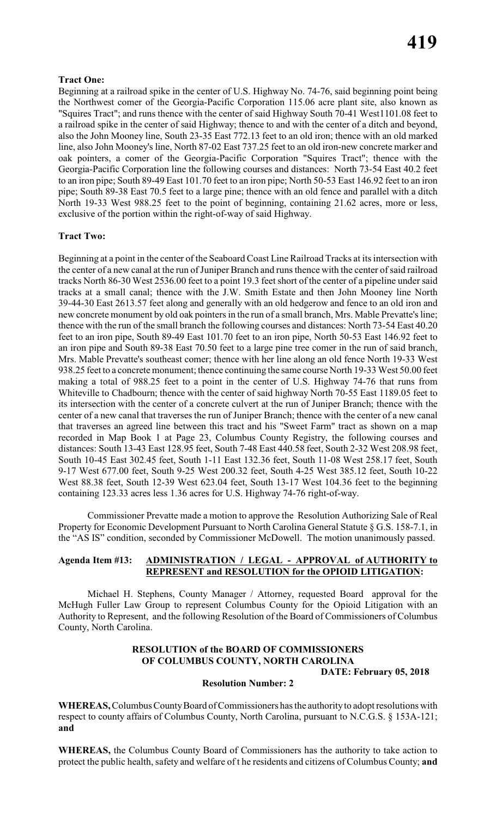### **Tract One:**

Beginning at a railroad spike in the center of U.S. Highway No. 74-76, said beginning point being the Northwest comer of the Georgia-Pacific Corporation 115.06 acre plant site, also known as "Squires Tract"; and runs thence with the center of said Highway South 70-41 West1101.08 feet to a railroad spike in the center of said Highway; thence to and with the center of a ditch and beyond, also the John Mooney line, South 23-35 East 772.13 feet to an old iron; thence with an old marked line, also John Mooney's line, North 87-02 East 737.25 feet to an old iron-new concrete marker and oak pointers, a comer of the Georgia-Pacific Corporation "Squires Tract"; thence with the Georgia-Pacific Corporation line the following courses and distances: North 73-54 East 40.2 feet to an iron pipe; South 89-49 East 101.70 feet to an iron pipe; North 50-53 East 146.92 feet to an iron pipe; South 89-38 East 70.5 feet to a large pine; thence with an old fence and parallel with a ditch North 19-33 West 988.25 feet to the point of beginning, containing 21.62 acres, more or less, exclusive of the portion within the right-of-way of said Highway.

### **Tract Two:**

Beginning at a point in the center of the Seaboard Coast Line Railroad Tracks at its intersection with the center of a new canal at the run of Juniper Branch and runs thence with the center of said railroad tracks North 86-30 West 2536.00 feet to a point 19.3 feet short of the center of a pipeline under said tracks at a small canal; thence with the J.W. Smith Estate and then John Mooney line North 39-44-30 East 2613.57 feet along and generally with an old hedgerow and fence to an old iron and new concrete monument by old oak pointers in the run of a small branch, Mrs. Mable Prevatte's line; thence with the run of the small branch the following courses and distances: North 73-54 East 40.20 feet to an iron pipe, South 89-49 East 101.70 feet to an iron pipe, North 50-53 East 146.92 feet to an iron pipe and South 89-38 East 70.50 feet to a large pine tree comer in the run of said branch, Mrs. Mable Prevatte's southeast comer; thence with her line along an old fence North 19-33 West 938.25 feet to a concrete monument; thence continuing the same course North 19-33 West 50.00 feet making a total of 988.25 feet to a point in the center of U.S. Highway 74-76 that runs from Whiteville to Chadbourn; thence with the center of said highway North 70-55 East 1189.05 feet to its intersection with the center of a concrete culvert at the run of Juniper Branch; thence with the center of a new canal that traverses the run of Juniper Branch; thence with the center of a new canal that traverses an agreed line between this tract and his "Sweet Farm" tract as shown on a map recorded in Map Book 1 at Page 23, Columbus County Registry, the following courses and distances: South 13-43 East 128.95 feet, South 7-48 East 440.58 feet, South 2-32 West 208.98 feet, South 10-45 East 302.45 feet, South 1-11 East 132.36 feet, South 11-08 West 258.17 feet, South 9-17 West 677.00 feet, South 9-25 West 200.32 feet, South 4-25 West 385.12 feet, South 10-22 West 88.38 feet, South 12-39 West 623.04 feet, South 13-17 West 104.36 feet to the beginning containing 123.33 acres less 1.36 acres for U.S. Highway 74-76 right-of-way.

Commissioner Prevatte made a motion to approve the Resolution Authorizing Sale of Real Property for Economic Development Pursuant to North Carolina General Statute § G.S. 158-7.1, in the "AS IS" condition, seconded by Commissioner McDowell. The motion unanimously passed.

### **Agenda Item #13: ADMINISTRATION / LEGAL - APPROVAL of AUTHORITY to REPRESENT and RESOLUTION for the OPIOID LITIGATION:**

Michael H. Stephens, County Manager / Attorney, requested Board approval for the McHugh Fuller Law Group to represent Columbus County for the Opioid Litigation with an Authority to Represent, and the following Resolution of the Board of Commissioners of Columbus County, North Carolina.

### **RESOLUTION of the BOARD OF COMMISSIONERS OF COLUMBUS COUNTY, NORTH CAROLINA DATE: February 05, 2018**

### **Resolution Number: 2**

**WHEREAS,** Columbus County Board of Commissioners has the authority to adopt resolutions with respect to county affairs of Columbus County, North Carolina, pursuant to N.C.G.S. § 153A-121; **and**

**WHEREAS,** the Columbus County Board of Commissioners has the authority to take action to protect the public health, safety and welfare of t he residents and citizens of Columbus County; **and**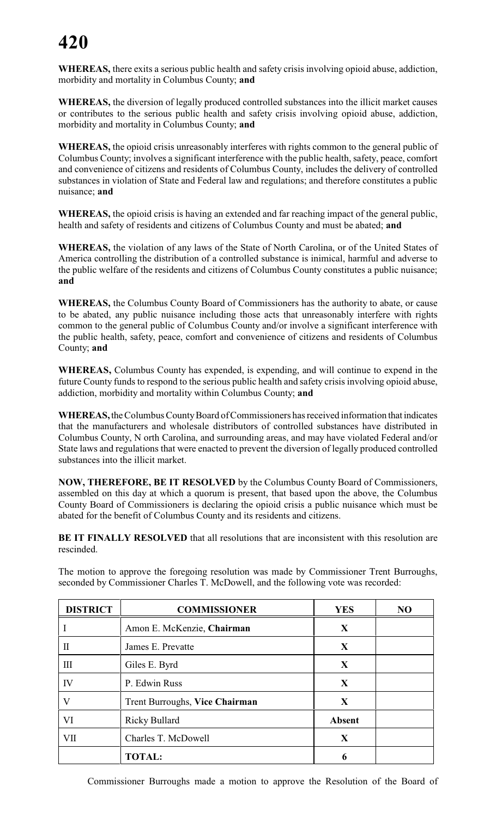**WHEREAS,** there exits a serious public health and safety crisis involving opioid abuse, addiction, morbidity and mortality in Columbus County; **and**

**WHEREAS,** the diversion of legally produced controlled substances into the illicit market causes or contributes to the serious public health and safety crisis involving opioid abuse, addiction, morbidity and mortality in Columbus County; **and**

**WHEREAS,** the opioid crisis unreasonably interferes with rights common to the general public of Columbus County; involves a significant interference with the public health, safety, peace, comfort and convenience of citizens and residents of Columbus County, includes the delivery of controlled substances in violation of State and Federal law and regulations; and therefore constitutes a public nuisance; **and**

**WHEREAS,** the opioid crisis is having an extended and far reaching impact of the general public, health and safety of residents and citizens of Columbus County and must be abated; **and**

**WHEREAS,** the violation of any laws of the State of North Carolina, or of the United States of America controlling the distribution of a controlled substance is inimical, harmful and adverse to the public welfare of the residents and citizens of Columbus County constitutes a public nuisance; **and**

**WHEREAS,** the Columbus County Board of Commissioners has the authority to abate, or cause to be abated, any public nuisance including those acts that unreasonably interfere with rights common to the general public of Columbus County and/or involve a significant interference with the public health, safety, peace, comfort and convenience of citizens and residents of Columbus County; **and**

**WHEREAS,** Columbus County has expended, is expending, and will continue to expend in the future County funds to respond to the serious public health and safety crisis involving opioid abuse, addiction, morbidity and mortality within Columbus County; **and**

**WHEREAS,** the Columbus County Board of Commissioners has received information that indicates that the manufacturers and wholesale distributors of controlled substances have distributed in Columbus County, N orth Carolina, and surrounding areas, and may have violated Federal and/or State laws and regulations that were enacted to prevent the diversion of legally produced controlled substances into the illicit market.

**NOW, THEREFORE, BE IT RESOLVED** by the Columbus County Board of Commissioners, assembled on this day at which a quorum is present, that based upon the above, the Columbus County Board of Commissioners is declaring the opioid crisis a public nuisance which must be abated for the benefit of Columbus County and its residents and citizens.

**BE IT FINALLY RESOLVED** that all resolutions that are inconsistent with this resolution are rescinded.

The motion to approve the foregoing resolution was made by Commissioner Trent Burroughs, seconded by Commissioner Charles T. McDowell, and the following vote was recorded:

| <b>DISTRICT</b> | <b>COMMISSIONER</b>            | <b>YES</b>    | N <sub>O</sub> |
|-----------------|--------------------------------|---------------|----------------|
|                 | Amon E. McKenzie, Chairman     | X             |                |
| $\mathbf I$     | James E. Prevatte              | $\mathbf X$   |                |
| Ш               | Giles E. Byrd                  | X             |                |
| IV              | P. Edwin Russ                  | X             |                |
| V               | Trent Burroughs, Vice Chairman | $\mathbf X$   |                |
| VI              | <b>Ricky Bullard</b>           | <b>Absent</b> |                |
| VII             | Charles T. McDowell            | X             |                |
|                 | <b>TOTAL:</b>                  | h             |                |

Commissioner Burroughs made a motion to approve the Resolution of the Board of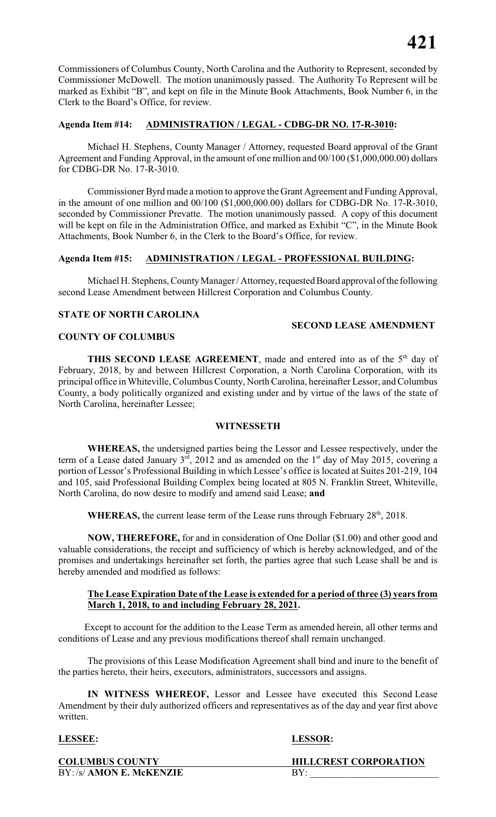Commissioners of Columbus County, North Carolina and the Authority to Represent, seconded by Commissioner McDowell. The motion unanimously passed. The Authority To Represent will be marked as Exhibit "B", and kept on file in the Minute Book Attachments, Book Number 6, in the Clerk to the Board's Office, for review.

### **Agenda Item #14: ADMINISTRATION / LEGAL - CDBG-DR NO. 17-R-3010:**

Michael H. Stephens, County Manager / Attorney, requested Board approval of the Grant Agreement and Funding Approval, in the amount of one million and 00/100 (\$1,000,000.00) dollars for CDBG-DR No. 17-R-3010.

Commissioner Byrd made a motion to approve the Grant Agreement and Funding Approval, in the amount of one million and 00/100 (\$1,000,000.00) dollars for CDBG-DR No. 17-R-3010, seconded by Commissioner Prevatte. The motion unanimously passed. A copy of this document will be kept on file in the Administration Office, and marked as Exhibit "C", in the Minute Book Attachments, Book Number 6, in the Clerk to the Board's Office, for review.

### **Agenda Item #15: ADMINISTRATION / LEGAL - PROFESSIONAL BUILDING:**

Michael H. Stephens, County Manager / Attorney, requested Board approval of the following second Lease Amendment between Hillcrest Corporation and Columbus County.

### **STATE OF NORTH CAROLINA**

### **SECOND LEASE AMENDMENT**

### **COUNTY OF COLUMBUS**

**THIS SECOND LEASE AGREEMENT**, made and entered into as of the  $5<sup>th</sup>$  day of February, 2018, by and between Hillcrest Corporation, a North Carolina Corporation, with its principal office in Whiteville, Columbus County, North Carolina, hereinafter Lessor, and Columbus County, a body politically organized and existing under and by virtue of the laws of the state of North Carolina, hereinafter Lessee;

### **WITNESSETH**

**WHEREAS,** the undersigned parties being the Lessor and Lessee respectively, under the term of a Lease dated January  $3<sup>rd</sup>$ , 2012 and as amended on the 1<sup>st</sup> day of May 2015, covering a portion of Lessor's Professional Building in which Lessee's office is located at Suites 201-219, 104 and 105, said Professional Building Complex being located at 805 N. Franklin Street, Whiteville, North Carolina, do now desire to modify and amend said Lease; **and**

**WHEREAS,** the current lease term of the Lease runs through February 28<sup>th</sup>, 2018.

**NOW, THEREFORE,** for and in consideration of One Dollar (\$1.00) and other good and valuable considerations, the receipt and sufficiency of which is hereby acknowledged, and of the promises and undertakings hereinafter set forth, the parties agree that such Lease shall be and is hereby amended and modified as follows:

### **The Lease Expiration Date of the Lease is extended for a period of three (3) years from March 1, 2018, to and including February 28, 2021.**

 Except to account for the addition to the Lease Term as amended herein, all other terms and conditions of Lease and any previous modifications thereof shall remain unchanged.

The provisions of this Lease Modification Agreement shall bind and inure to the benefit of the parties hereto, their heirs, executors, administrators, successors and assigns.

**IN WITNESS WHEREOF,** Lessor and Lessee have executed this Second Lease Amendment by their duly authorized officers and representatives as of the day and year first above written.

### **LESSEE: LESSOR:**

BY:/s/ **AMON E. McKENZIE** BY:

**COLUMBUS COUNTY HILLCREST CORPORATION**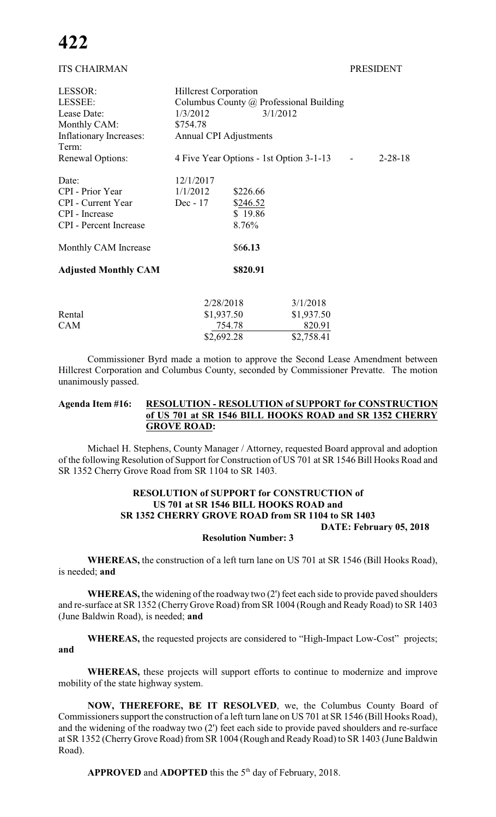### ITS CHAIRMAN PRESIDENT

| LESSOR:                       | <b>Hillcrest Corporation</b>                             |          |            |  |  |  |
|-------------------------------|----------------------------------------------------------|----------|------------|--|--|--|
| LESSEE:                       | Columbus County @ Professional Building                  |          |            |  |  |  |
| Lease Date:                   | 3/1/2012<br>1/3/2012                                     |          |            |  |  |  |
| Monthly CAM:                  | \$754.78                                                 |          |            |  |  |  |
| Inflationary Increases:       | <b>Annual CPI Adjustments</b>                            |          |            |  |  |  |
| Term:                         |                                                          |          |            |  |  |  |
| <b>Renewal Options:</b>       | 4 Five Year Options - 1st Option 3-1-13<br>$2 - 28 - 18$ |          |            |  |  |  |
| Date:                         | 12/1/2017                                                |          |            |  |  |  |
| <b>CPI</b> - Prior Year       | 1/1/2012                                                 | \$226.66 |            |  |  |  |
| CPI - Current Year            | $Dec - 17$                                               | \$246.52 |            |  |  |  |
| CPI - Increase                |                                                          | \$19.86  |            |  |  |  |
| <b>CPI</b> - Percent Increase |                                                          | 8.76%    |            |  |  |  |
| Monthly CAM Increase          |                                                          | \$66.13  |            |  |  |  |
| <b>Adjusted Monthly CAM</b>   |                                                          | \$820.91 |            |  |  |  |
|                               |                                                          |          |            |  |  |  |
|                               | 2/28/2018                                                |          | 3/1/2018   |  |  |  |
| Rental                        | \$1,937.50                                               |          | \$1,937.50 |  |  |  |
| <b>CAM</b>                    | 754.78                                                   |          | 820.91     |  |  |  |
|                               | \$2,692.28                                               |          | \$2,758.41 |  |  |  |

Commissioner Byrd made a motion to approve the Second Lease Amendment between Hillcrest Corporation and Columbus County, seconded by Commissioner Prevatte. The motion unanimously passed.

### **Agenda Item #16: RESOLUTION - RESOLUTION of SUPPORT for CONSTRUCTION of US 701 at SR 1546 BILL HOOKS ROAD and SR 1352 CHERRY GROVE ROAD:**

Michael H. Stephens, County Manager / Attorney, requested Board approval and adoption of the following Resolution of Support for Construction of US 701 at SR 1546 Bill Hooks Road and SR 1352 Cherry Grove Road from SR 1104 to SR 1403.

### **RESOLUTION of SUPPORT for CONSTRUCTION of US 701 at SR 1546 BILL HOOKS ROAD and SR 1352 CHERRY GROVE ROAD from SR 1104 to SR 1403 DATE: February 05, 2018**

### **Resolution Number: 3**

**WHEREAS,** the construction of a left turn lane on US 701 at SR 1546 (Bill Hooks Road), is needed; **and**

**WHEREAS,** the widening of the roadway two (2') feet each side to provide paved shoulders and re-surface at SR 1352 (Cherry Grove Road) from SR 1004 (Rough and Ready Road) to SR 1403 (June Baldwin Road), is needed; **and**

**WHEREAS,** the requested projects are considered to "High-Impact Low-Cost" projects; **and**

**WHEREAS,** these projects will support efforts to continue to modernize and improve mobility of the state highway system.

**NOW, THEREFORE, BE IT RESOLVED**, we, the Columbus County Board of Commissioners support the construction of a left turn lane on US 701 at SR 1546 (Bill Hooks Road), and the widening of the roadway two (2') feet each side to provide paved shoulders and re-surface at SR 1352 (Cherry Grove Road) from SR 1004 (Rough and Ready Road) to SR 1403 (June Baldwin Road).

**APPROVED** and **ADOPTED** this the  $5<sup>th</sup>$  day of February, 2018.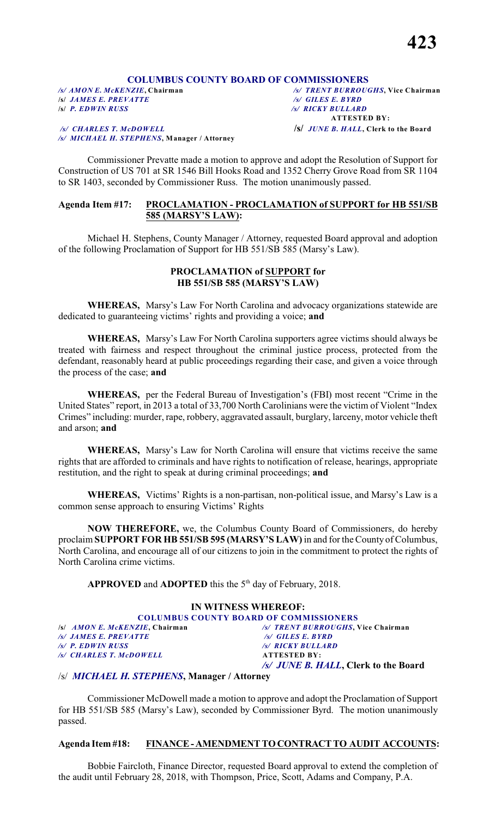## **COLUMBUS COUNTY BOARD OF COMMISSIONERS**<br>/s/ AMONE. McKENZIE, Chairman /s/ TRENT BURROUG

**/s/** *JAMES E. PREVATTE /s/ GILES E. BYRD*

 */s/ CHARLES T. McDOWELL* **/s/** *JUNE B. HALL***, Clerk to the Board** */s/ MICHAEL H. STEPHENS***, Manager / Attorney**

*/s/ AMON E. McKENZIE***, Chairman** */s/ TRENT BURROUGHS***, Vice Chairman /s/** *P. EDWIN RUSS /s/ RICKY BULLARD*  **ATTESTED BY:**

Commissioner Prevatte made a motion to approve and adopt the Resolution of Support for Construction of US 701 at SR 1546 Bill Hooks Road and 1352 Cherry Grove Road from SR 1104 to SR 1403, seconded by Commissioner Russ. The motion unanimously passed.

### **Agenda Item #17: PROCLAMATION - PROCLAMATION of SUPPORT for HB 551/SB 585 (MARSY'S LAW):**

Michael H. Stephens, County Manager / Attorney, requested Board approval and adoption of the following Proclamation of Support for HB 551/SB 585 (Marsy's Law).

### **PROCLAMATION of SUPPORT for HB 551/SB 585 (MARSY'S LAW)**

**WHEREAS,** Marsy's Law For North Carolina and advocacy organizations statewide are dedicated to guaranteeing victims' rights and providing a voice; **and**

**WHEREAS,** Marsy's Law For North Carolina supporters agree victims should always be treated with fairness and respect throughout the criminal justice process, protected from the defendant, reasonably heard at public proceedings regarding their case, and given a voice through the process of the case; **and**

**WHEREAS,** per the Federal Bureau of Investigation's (FBI) most recent "Crime in the United States" report, in 2013 a total of 33,700 North Carolinians were the victim of Violent "Index Crimes" including: murder, rape, robbery, aggravated assault, burglary, larceny, motor vehicle theft and arson; **and**

**WHEREAS,** Marsy's Law for North Carolina will ensure that victims receive the same rights that are afforded to criminals and have rights to notification of release, hearings, appropriate restitution, and the right to speak at during criminal proceedings; **and**

**WHEREAS,** Victims' Rights is a non-partisan, non-political issue, and Marsy's Law is a common sense approach to ensuring Victims' Rights

**NOW THEREFORE,** we, the Columbus County Board of Commissioners, do hereby proclaim **SUPPORT FOR HB 551/SB 595 (MARSY'S LAW)** in and for the County of Columbus, North Carolina, and encourage all of our citizens to join in the commitment to protect the rights of North Carolina crime victims.

**APPROVED** and **ADOPTED** this the  $5<sup>th</sup>$  day of February, 2018.

|                                        | IN WITNESS WHEREOF:                           |
|----------------------------------------|-----------------------------------------------|
|                                        | <b>COLUMBUS COUNTY BOARD OF COMMISSIONERS</b> |
| /s/ <i>AMON E. McKENZIE</i> , Chairman | /s/ TRENT BURROUGHS, Vice Chairman            |
| /s/ JAMES E. PREVATTE                  | $\sqrt{s}$ GILES E. BYRD                      |
| /s/ P. EDWIN RUSS                      | <b>/s/ RICKY BULLARD</b>                      |
| /s/ CHARLES T. McDOWELL                | <b>ATTESTED BY:</b>                           |
|                                        | /s/ JUNE B. HALL, Clerk to the Board          |

### /s/ *MICHAEL H. STEPHENS***, Manager / Attorney**

Commissioner McDowell made a motion to approve and adopt the Proclamation of Support for HB 551/SB 585 (Marsy's Law), seconded by Commissioner Byrd. The motion unanimously passed.

### **Agenda Item #18: FINANCE - AMENDMENT TO CONTRACT TO AUDIT ACCOUNTS:**

Bobbie Faircloth, Finance Director, requested Board approval to extend the completion of the audit until February 28, 2018, with Thompson, Price, Scott, Adams and Company, P.A.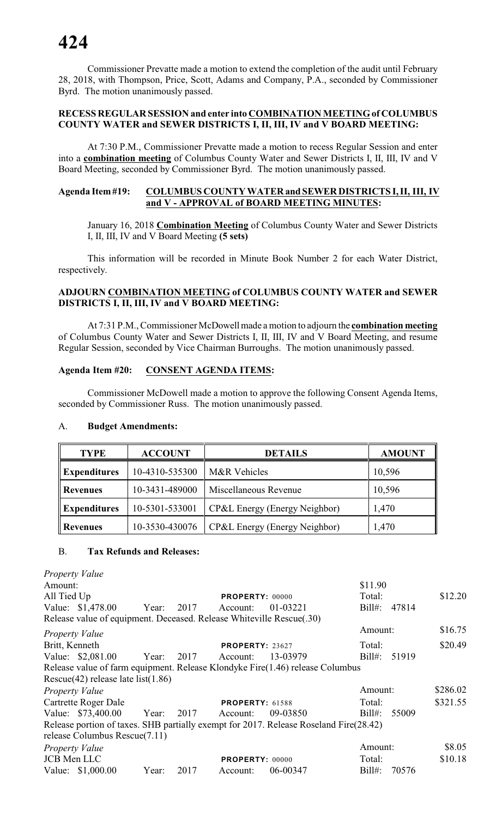Commissioner Prevatte made a motion to extend the completion of the audit until February 28, 2018, with Thompson, Price, Scott, Adams and Company, P.A., seconded by Commissioner Byrd. The motion unanimously passed.

### **RECESS REGULAR SESSION and enter into COMBINATION MEETING of COLUMBUS COUNTY WATER and SEWER DISTRICTS I, II, III, IV and V BOARD MEETING:**

At 7:30 P.M., Commissioner Prevatte made a motion to recess Regular Session and enter into a **combination meeting** of Columbus County Water and Sewer Districts I, II, III, IV and V Board Meeting, seconded by Commissioner Byrd. The motion unanimously passed.

### **Agenda Item #19: COLUMBUS COUNTY WATER and SEWER DISTRICTS I, II, III, IV and V - APPROVAL of BOARD MEETING MINUTES:**

January 16, 2018 **Combination Meeting** of Columbus County Water and Sewer Districts I, II, III, IV and V Board Meeting **(5 sets)**

This information will be recorded in Minute Book Number 2 for each Water District, respectively.

### **ADJOURN COMBINATION MEETING of COLUMBUS COUNTY WATER and SEWER DISTRICTS I, II, III, IV and V BOARD MEETING:**

At 7:31 P.M., Commissioner McDowell made a motion to adjourn the **combination meeting** of Columbus County Water and Sewer Districts I, II, III, IV and V Board Meeting, and resume Regular Session, seconded by Vice Chairman Burroughs. The motion unanimously passed.

### **Agenda Item #20: CONSENT AGENDA ITEMS:**

Commissioner McDowell made a motion to approve the following Consent Agenda Items, seconded by Commissioner Russ. The motion unanimously passed.

### A. **Budget Amendments:**

| <b>TYPE</b>         | <b>ACCOUNT</b> | <b>DETAILS</b>                | <b>AMOUNT</b> |
|---------------------|----------------|-------------------------------|---------------|
| <b>Expenditures</b> | 10-4310-535300 | M&R Vehicles                  | 10,596        |
| <b>Revenues</b>     | 10-3431-489000 | Miscellaneous Revenue         | 10,596        |
| <b>Expenditures</b> | 10-5301-533001 | CP&L Energy (Energy Neighbor) | 1,470         |
| Revenues            | 10-3530-430076 | CP&L Energy (Energy Neighbor) | 1,470         |

### B. **Tax Refunds and Releases:**

|                | Property Value                                                       |       |      |                        |                                                                                       |           |       |          |
|----------------|----------------------------------------------------------------------|-------|------|------------------------|---------------------------------------------------------------------------------------|-----------|-------|----------|
| Amount:        |                                                                      |       |      |                        |                                                                                       | \$11.90   |       |          |
| All Tied Up    |                                                                      |       |      | <b>PROPERTY: 00000</b> |                                                                                       | Total:    |       | \$12.20  |
|                | Value: \$1,478.00 Year: 2017                                         |       |      | Account:               | 01-03221                                                                              | $Bill#$ : | 47814 |          |
|                | Release value of equipment. Deceased. Release Whiteville Rescue(.30) |       |      |                        |                                                                                       |           |       |          |
|                | <b>Property Value</b>                                                |       |      |                        |                                                                                       | Amount:   |       | \$16.75  |
| Britt, Kenneth |                                                                      |       |      | <b>PROPERTY: 23627</b> |                                                                                       | Total:    |       | \$20.49  |
|                | Value: \$2,081.00 Year: 2017                                         |       |      | Account:               | 13-03979                                                                              | $Bill#$ : | 51919 |          |
|                |                                                                      |       |      |                        | Release value of farm equipment. Release Klondyke Fire(1.46) release Columbus         |           |       |          |
|                | Rescue $(42)$ release late list $(1.86)$                             |       |      |                        |                                                                                       |           |       |          |
|                | <i>Property Value</i>                                                |       |      |                        |                                                                                       | Amount:   |       | \$286.02 |
|                | Cartrette Roger Dale                                                 |       |      | <b>PROPERTY: 61588</b> |                                                                                       | Total:    |       | \$321.55 |
|                | Value: \$73,400.00 Year: 2017 Account:                               |       |      |                        | 09-03850                                                                              | $Bill#$ : | 55009 |          |
|                |                                                                      |       |      |                        | Release portion of taxes. SHB partially exempt for 2017. Release Roseland Fire(28.42) |           |       |          |
|                | release Columbus Rescue(7.11)                                        |       |      |                        |                                                                                       |           |       |          |
|                | Property Value                                                       |       |      |                        |                                                                                       | Amount:   |       | \$8.05   |
|                | <b>JCB</b> Men LLC                                                   |       |      | <b>PROPERTY: 00000</b> |                                                                                       | Total:    |       | \$10.18  |
|                | Value: \$1,000.00                                                    | Year: | 2017 | Account:               | 06-00347                                                                              | $Bill#$ : | 70576 |          |
|                |                                                                      |       |      |                        |                                                                                       |           |       |          |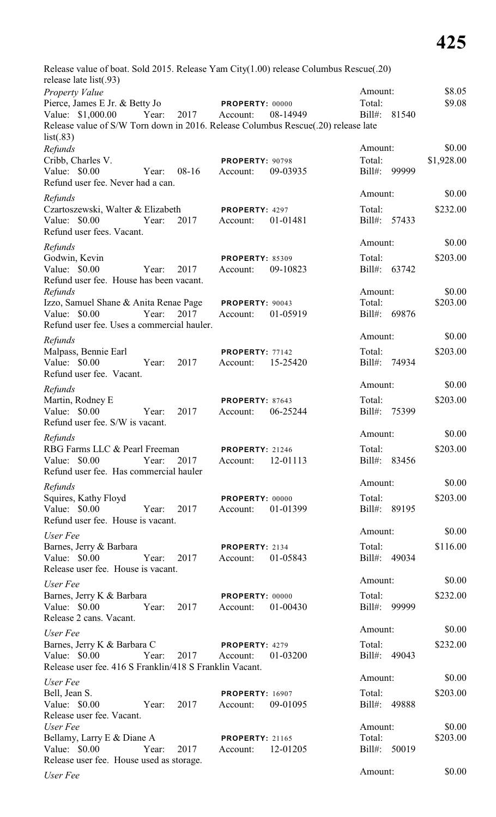| Release value of boat. Sold 2015. Release Yam City(1.00) release Columbus Rescue(.20)<br>release late list(.93) |                        |          |                    |            |
|-----------------------------------------------------------------------------------------------------------------|------------------------|----------|--------------------|------------|
| <b>Property Value</b>                                                                                           |                        |          | Amount:            | \$8.05     |
| Pierce, James E Jr. & Betty Jo                                                                                  | <b>PROPERTY: 00000</b> |          | Total:             | \$9.08     |
| Value: \$1,000.00<br>Year:<br>2017                                                                              | Account:               | 08-14949 | $Bill#$ :<br>81540 |            |
| Release value of S/W Torn down in 2016. Release Columbus Rescue(.20) release late<br>list(.83)                  |                        |          |                    |            |
| Refunds                                                                                                         |                        |          | Amount:            | \$0.00     |
| Cribb, Charles V.                                                                                               | PROPERTY: 90798        |          | Total:             | \$1,928.00 |
| Value: \$0.00<br>$08-16$<br>Year:<br>Refund user fee. Never had a can.                                          | Account:               | 09-03935 | 99999<br>$Bill#$ : |            |
| Refunds                                                                                                         |                        |          | Amount:            | \$0.00     |
| Czartoszewski, Walter & Elizabeth                                                                               | PROPERTY: 4297         |          | Total:             | \$232.00   |
| Value: \$0.00<br>2017<br>Year:<br>Refund user fees. Vacant.                                                     | Account:               | 01-01481 | Bill#:<br>57433    |            |
| Refunds                                                                                                         |                        |          | Amount:            | \$0.00     |
| Godwin, Kevin                                                                                                   | <b>PROPERTY: 85309</b> |          | Total:             | \$203.00   |
| Value: $$0.00$<br>2017<br>Year:<br>Refund user fee. House has been vacant.                                      | Account:               | 09-10823 | $Bill#$ :<br>63742 |            |
| Refunds                                                                                                         |                        |          | Amount:            | \$0.00     |
| Izzo, Samuel Shane & Anita Renae Page                                                                           | PROPERTY: 90043        |          | Total:             | \$203.00   |
| Value: \$0.00<br>2017<br>Year:<br>Refund user fee. Uses a commercial hauler.                                    | Account:               | 01-05919 | Bill#:<br>69876    |            |
| Refunds                                                                                                         |                        |          | Amount:            | \$0.00     |
| Malpass, Bennie Earl                                                                                            | PROPERTY: 77142        |          | Total:             | \$203.00   |
| 2017<br>Value: $$0.00$<br>Year:<br>Refund user fee. Vacant.                                                     | Account:               | 15-25420 | $Bill#$ :<br>74934 |            |
| Refunds                                                                                                         |                        |          | Amount:            | \$0.00     |
| Martin, Rodney E                                                                                                | PROPERTY: 87643        |          | Total:             | \$203.00   |
| Value: \$0.00<br>Year:<br>2017<br>Refund user fee. S/W is vacant.                                               | Account:               | 06-25244 | $Bill#$ :<br>75399 |            |
| Refunds                                                                                                         |                        |          | Amount:            | \$0.00     |
| RBG Farms LLC & Pearl Freeman                                                                                   | <b>PROPERTY: 21246</b> |          | Total:             | \$203.00   |
| Value: \$0.00<br>Year:<br>Refund user fee. Has commercial hauler                                                | 2017<br>Account:       | 12-01113 | Bill#: 83456       |            |
| Refunds                                                                                                         |                        |          | Amount:            | \$0.00     |
| Squires, Kathy Floyd                                                                                            | <b>PROPERTY: 00000</b> |          | Total:             | \$203.00   |
| Value: \$0.00<br>Year:<br>2017<br>Refund user fee. House is vacant.                                             | Account:               | 01-01399 | Bill#: 89195       |            |
| User Fee                                                                                                        |                        |          | Amount:            | \$0.00     |
| Barnes, Jerry & Barbara                                                                                         | PROPERTY: 2134         |          | Total:             | \$116.00   |
| Value: \$0.00<br>Year:<br>Release user fee. House is vacant.                                                    | 2017<br>Account:       | 01-05843 | Bill#: 49034       |            |
| User Fee                                                                                                        |                        |          | Amount:            | \$0.00     |
| Barnes, Jerry K & Barbara                                                                                       | <b>PROPERTY: 00000</b> |          | Total:             | \$232.00   |
| Value: \$0.00<br>Year: 2017<br>Release 2 cans. Vacant.                                                          | Account:               | 01-00430 | Bill#: 99999       |            |
| User Fee                                                                                                        |                        |          | Amount:            | \$0.00     |
| Barnes, Jerry K & Barbara C                                                                                     | <b>PROPERTY: 4279</b>  |          | Total:             | \$232.00   |
| Value: \$0.00<br>Year:<br>Release user fee. 416 S Franklin/418 S Franklin Vacant.                               | 2017<br>Account:       | 01-03200 | Bill#: 49043       |            |
|                                                                                                                 |                        |          | Amount:            | \$0.00     |
| User Fee<br>Bell, Jean S.                                                                                       | <b>PROPERTY: 16907</b> |          | Total:             | \$203.00   |
| Value: \$0.00<br>2017<br>Year:                                                                                  | Account:               | 09-01095 | Bill#: 49888       |            |
| Release user fee. Vacant.                                                                                       |                        |          |                    |            |
| User Fee                                                                                                        |                        |          | Amount:            | \$0.00     |
| Bellamy, Larry E & Diane A                                                                                      | <b>PROPERTY: 21165</b> |          | Total:             | \$203.00   |
| Value: $$0.00$<br>Year:                                                                                         | 2017<br>Account:       | 12-01205 | Bill#: 50019       |            |
| Release user fee. House used as storage.                                                                        |                        |          | Amount:            | \$0.00     |
| User Fee                                                                                                        |                        |          |                    |            |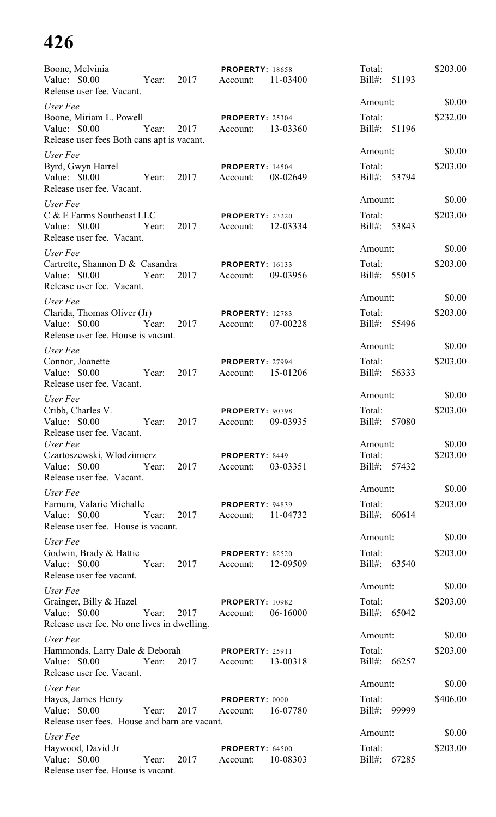| Boone, Melvinia<br>Value: \$0.00<br>2017<br>Year:<br>Release user fee. Vacant.                        | <b>PROPERTY: 18658</b><br>11-03400<br>Account:         | Total:<br>Bill#: 51193            | \$203.00           |
|-------------------------------------------------------------------------------------------------------|--------------------------------------------------------|-----------------------------------|--------------------|
| User Fee                                                                                              |                                                        | Amount:                           | \$0.00             |
| Boone, Miriam L. Powell<br>Value: \$0.00<br>Year:<br>Release user fees Both cans apt is vacant.       | <b>PROPERTY: 25304</b><br>13-03360<br>2017<br>Account: | Total:<br>Bill#: 51196            | \$232.00           |
| User Fee<br>Byrd, Gwyn Harrel<br>Value: \$0.00<br>Year:<br>2017<br>Release user fee. Vacant.          | <b>PROPERTY: 14504</b><br>08-02649<br>Account:         | Amount:<br>Total:<br>Bill#: 53794 | \$0.00<br>\$203.00 |
| User Fee                                                                                              |                                                        | Amount:                           | \$0.00             |
| C & E Farms Southeast LLC<br>Value: \$0.00<br>2017<br>Year:<br>Release user fee. Vacant.              | PROPERTY: 23220<br>12-03334<br>Account:                | Total:<br>Bill#: 53843            | \$203.00           |
| User Fee                                                                                              |                                                        | Amount:                           | \$0.00             |
| Cartrette, Shannon D & Casandra<br>Value: \$0.00<br>2017<br>Year:<br>Release user fee. Vacant.        | <b>PROPERTY: 16133</b><br>09-03956<br>Account:         | Total:<br>Bill#: 55015            | \$203.00           |
| User Fee                                                                                              |                                                        | Amount:                           | \$0.00             |
| Clarida, Thomas Oliver (Jr)<br>Value: \$0.00<br>Year:<br>2017<br>Release user fee. House is vacant.   | <b>PROPERTY: 12783</b><br>07-00228<br>Account:         | Total:<br>Bill#: 55496            | \$203.00           |
| User Fee                                                                                              |                                                        | Amount:                           | \$0.00             |
| Connor, Joanette<br>Value: $$0.00$<br>Year:<br>2017<br>Release user fee. Vacant.                      | PROPERTY: 27994<br>15-01206<br>Account:                | Total:<br>Bill#:<br>56333         | \$203.00           |
| User Fee                                                                                              |                                                        | Amount:                           | \$0.00             |
| Cribb, Charles V.<br>Value: \$0.00<br>Year:<br>2017<br>Release user fee. Vacant.                      | PROPERTY: 90798<br>Account:<br>09-03935                | Total:<br>Bill#: 57080            | \$203.00           |
| User Fee                                                                                              |                                                        | Amount:                           | \$0.00             |
| Czartoszewski, Włodzimierz<br>Value: \$0.00 Year:<br>2017<br>Release user fee. Vacant.                | PROPERTY: 8449<br>03-03351<br>Account:                 | Total:<br>Bill#: 57432            | \$203.00           |
| User Fee                                                                                              |                                                        | Amount:                           | \$0.00             |
| Farnum, Valarie Michalle<br>Value: $$0.00$<br>Year:<br>2017<br>Release user fee. House is vacant.     | <b>PROPERTY: 94839</b><br>Account:<br>11-04732         | Total:<br>Bill#: 60614            | \$203.00           |
| User Fee                                                                                              |                                                        | Amount:                           | \$0.00             |
| Godwin, Brady & Hattie<br>Value: $$0.00$<br>Year:<br>2017<br>Release user fee vacant.                 | <b>PROPERTY: 82520</b><br>12-09509<br>Account:         | Total:<br>Bill#: 63540            | \$203.00           |
| User Fee                                                                                              |                                                        | Amount:                           | \$0.00             |
| Grainger, Billy & Hazel<br>Value: \$0.00<br>Year:<br>Release user fee. No one lives in dwelling.      | <b>PROPERTY: 10982</b><br>2017<br>06-16000<br>Account: | Total:<br>Bill#: 65042            | \$203.00           |
| User Fee                                                                                              |                                                        | Amount:                           | \$0.00             |
| Hammonds, Larry Dale & Deborah<br>Value: \$0.00 Year:<br>2017<br>Release user fee. Vacant.            | <b>PROPERTY: 25911</b><br>13-00318<br>Account:         | Total:<br>Bill#: 66257            | \$203.00           |
| User Fee                                                                                              |                                                        | Amount:                           | \$0.00             |
| Hayes, James Henry<br>Value: \$0.00<br>Year:<br>2017<br>Release user fees. House and barn are vacant. | PROPERTY: 0000<br>Account:<br>16-07780                 | Total:<br>Bill#: 99999            | \$406.00           |
| User Fee                                                                                              |                                                        | Amount:                           | \$0.00             |
| Haywood, David Jr<br>Value: \$0.00<br>Year:<br>2017<br>Release user fee. House is vacant.             | <b>PROPERTY: 64500</b><br>10-08303<br>Account:         | Total:<br>Bill#: 67285            | \$203.00           |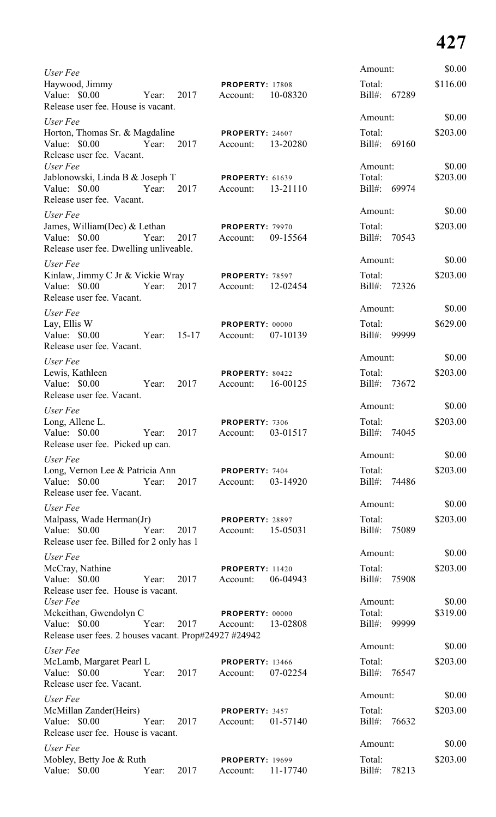| User Fee                                                                                                          |       |                     |                                      |          | Amount:                           |              | \$0.00             |
|-------------------------------------------------------------------------------------------------------------------|-------|---------------------|--------------------------------------|----------|-----------------------------------|--------------|--------------------|
| Haywood, Jimmy<br>Value: \$0.00<br>Year:<br>Release user fee. House is vacant.                                    |       | 2017                | <b>PROPERTY: 17808</b><br>Account:   | 10-08320 | Total:<br>Bill#: 67289            |              | \$116.00           |
| User Fee                                                                                                          |       |                     |                                      |          | Amount:                           |              | \$0.00             |
| Horton, Thomas Sr. & Magdaline<br>Value: \$0.00 Year: 2017<br>Release user fee. Vacant.                           |       |                     | <b>PROPERTY: 24607</b><br>Account:   | 13-20280 | Total:<br>Bill#: 69160            |              | \$203.00           |
| User Fee<br>Jablonowski, Linda B & Joseph T <b>PROPERTY</b> : 61639<br>Value: \$0.00<br>Release user fee. Vacant. |       | Year: 2017 Account: |                                      | 13-21110 | Amount:<br>Total:<br>Bill#: 69974 |              | \$0.00<br>\$203.00 |
| User Fee                                                                                                          |       |                     |                                      |          | Amount:                           |              | \$0.00             |
| James, William(Dec) & Lethan<br>Value: \$0.00<br>Release user fee. Dwelling unliveable.                           |       | Year: 2017          | <b>PROPERTY: 79970</b><br>Account:   | 09-15564 | Total:<br>Bill#: 70543            |              | \$203.00           |
| User Fee                                                                                                          |       |                     |                                      |          | Amount:                           |              | \$0.00             |
| Kinlaw, Jimmy C Jr & Vickie Wray PROPERTY: 78597<br>Year: 2017<br>Value: \$0.00<br>Release user fee. Vacant.      |       |                     | Account: 12-02454                    |          | Total:<br>Bill#: 72326            |              | \$203.00           |
| User Fee                                                                                                          |       |                     |                                      |          | Amount:                           |              | \$0.00             |
| Lay, Ellis W<br>Value: \$0.00<br>Year: 15-17<br>Release user fee. Vacant.                                         |       |                     | PROPERTY: 00000<br>Account:          | 07-10139 | Total:<br>Bill#: 99999            |              | \$629.00           |
| User Fee                                                                                                          |       |                     |                                      |          | Amount:                           |              | \$0.00             |
| Lewis, Kathleen<br>Value: \$0.00 Year:<br>Release user fee. Vacant.                                               |       | 2017                | PROPERTY: 80422<br>Account: 16-00125 |          | Total:<br>Bill#: 73672            |              | \$203.00           |
| User Fee                                                                                                          |       |                     |                                      |          | Amount:                           |              | \$0.00             |
| Long, Allene L.<br>Value: \$0.00 Year:<br>Release user fee. Picked up can.                                        |       | 2017                | PROPERTY: 7306<br>Account:           | 03-01517 | Total:<br>Bill#: 74045            |              | \$203.00           |
| User Fee                                                                                                          |       |                     |                                      |          | Amount:                           |              | \$0.00             |
| Long, Vernon Lee & Patricia Ann<br>Value: \$0.00 Year: 2017<br>Release user fee. Vacant.                          |       |                     | PROPERTY: 7404<br>Account:           | 03-14920 | Total:                            | Bill#: 74486 | \$203.00           |
| User Fee                                                                                                          |       |                     |                                      |          | Amount:                           |              | \$0.00             |
| Malpass, Wade Herman(Jr)<br>Value: \$0.00 Year:<br>Release user fee. Billed for 2 only has 1                      |       | 2017                | PROPERTY: 28897<br>Account: 15-05031 |          | Total:<br>Bill#: 75089            |              | \$203.00           |
| User Fee                                                                                                          |       |                     |                                      |          | Amount:                           |              | \$0.00             |
| McCray, Nathine<br>Value: \$0.00 Year:<br>Release user fee. House is vacant.                                      |       | 2017                | <b>PROPERTY: 11420</b><br>Account:   | 06-04943 | Total:<br>Bill#: 75908            |              | \$203.00           |
| User Fee                                                                                                          |       |                     |                                      |          | Amount:                           |              | \$0.00             |
| Mckeithan, Gwendolyn C<br>Value: \$0.00 Year:<br>Release user fees. 2 houses vacant. Prop#24927 #24942            |       | 2017                | PROPERTY: 00000<br>Account: 13-02808 |          | Total:<br>Bill#: 99999            |              | \$319.00           |
| User Fee                                                                                                          |       |                     |                                      |          | Amount:                           |              | \$0.00             |
| McLamb, Margaret Pearl L<br>Value: \$0.00 Year:<br>Release user fee. Vacant.                                      |       | 2017                | <b>PROPERTY: 13466</b><br>Account:   | 07-02254 | Total:<br>Bill#: 76547            |              | \$203.00           |
| User Fee                                                                                                          |       |                     |                                      |          | Amount:                           |              | \$0.00             |
| McMillan Zander(Heirs)<br>Value: \$0.00 Year:<br>Release user fee. House is vacant.                               |       | 2017                | PROPERTY: 3457<br>Account:           | 01-57140 | Total:<br>Bill#: 76632            |              | \$203.00           |
| User Fee                                                                                                          |       |                     |                                      |          | Amount:                           |              | \$0.00             |
| Mobley, Betty Joe & Ruth<br>Value: \$0.00                                                                         | Year: | 2017                | <b>PROPERTY: 19699</b><br>Account:   | 11-17740 | Total:<br>Bill#:                  | 78213        | \$203.00           |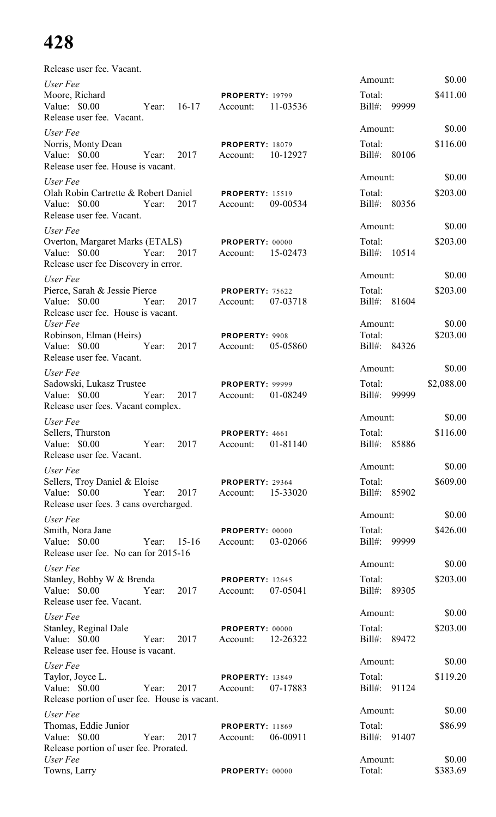| Release user fee. Vacant.                                                                      |       |           |                                    |          |                        |       |                    |
|------------------------------------------------------------------------------------------------|-------|-----------|------------------------------------|----------|------------------------|-------|--------------------|
| User Fee                                                                                       |       |           |                                    |          | Amount:                |       | \$0.00             |
| Moore, Richard<br>Value: $$0.00$<br>Release user fee. Vacant.                                  | Year: | $16 - 17$ | <b>PROPERTY: 19799</b><br>Account: | 11-03536 | Total:<br>Bill#: 99999 |       | \$411.00           |
| User Fee                                                                                       |       |           |                                    |          | Amount:                |       | \$0.00             |
| Norris, Monty Dean<br>Value: \$0.00 Year:<br>Release user fee. House is vacant.                |       | 2017      | <b>PROPERTY: 18079</b><br>Account: | 10-12927 | Total:<br>Bill#: 80106 |       | \$116.00           |
| User Fee                                                                                       |       |           |                                    |          | Amount:                |       | \$0.00             |
| Olah Robin Cartrette & Robert Daniel<br>Value: \$0.00 Year:<br>Release user fee. Vacant.       |       | 2017      | <b>PROPERTY: 15519</b><br>Account: | 09-00534 | Total:<br>Bill#: 80356 |       | \$203.00           |
| User Fee                                                                                       |       |           |                                    |          | Amount:                |       | \$0.00             |
| Overton, Margaret Marks (ETALS)<br>Value: \$0.00 Year:<br>Release user fee Discovery in error. |       | 2017      | <b>PROPERTY: 00000</b><br>Account: | 15-02473 | Total:<br>Bill#: 10514 |       | \$203.00           |
| User Fee                                                                                       |       |           |                                    |          | Amount:                |       | \$0.00             |
| Pierce, Sarah & Jessie Pierce<br>Value: \$0.00<br>Release user fee. House is vacant.           | Year: | 2017      | PROPERTY: 75622<br>Account:        | 07-03718 | Total:<br>Bill#: 81604 |       | \$203.00           |
| User Fee                                                                                       |       |           |                                    |          | Amount:                |       | \$0.00             |
| Robinson, Elman (Heirs)<br>Value: \$0.00<br>Release user fee. Vacant.                          | Year: | 2017      | PROPERTY: 9908<br>Account:         | 05-05860 | Total:<br>Bill#: 84326 |       | \$203.00           |
| User Fee                                                                                       |       |           |                                    |          | Amount:                |       | \$0.00             |
| Sadowski, Lukasz Trustee<br>Value: $$0.00$<br>Release user fees. Vacant complex.               | Year: | 2017      | <b>PROPERTY: 99999</b><br>Account: | 01-08249 | Total:<br>$Bill#$ :    | 99999 | \$2,088.00         |
| User Fee                                                                                       |       |           |                                    |          | Amount:                |       | \$0.00             |
| Sellers, Thurston<br>Value: $$0.00$<br>Release user fee. Vacant.                               | Year: | 2017      | PROPERTY: 4661<br>Account:         | 01-81140 | Total:<br>$Bill#$ :    | 85886 | \$116.00           |
| User Fee                                                                                       |       |           |                                    |          | Amount:                |       | \$0.00             |
| Sellers, Troy Daniel & Eloise<br>Value: $$0.00$<br>Release user fees. 3 cans overcharged.      | Year: | 2017      | PROPERTY: 29364<br>Account:        | 15-33020 | Total:<br>Bill#: 85902 |       | \$609.00           |
| User Fee                                                                                       |       |           |                                    |          | Amount:                |       | \$0.00             |
| Smith, Nora Jane<br>Value: $$0.00$<br>Release user fee. No can for 2015-16                     | Year: | $15-16$   | PROPERTY: 00000<br>Account:        | 03-02066 | Total:<br>$Bill#$ :    | 99999 | \$426.00           |
| User Fee                                                                                       |       |           |                                    |          | Amount:                |       | \$0.00             |
| Stanley, Bobby W & Brenda<br>Value: $$0.00$<br>Release user fee. Vacant.                       | Year: | 2017      | <b>PROPERTY: 12645</b><br>Account: | 07-05041 | Total:<br>Bill#: 89305 |       | \$203.00           |
| User Fee                                                                                       |       |           |                                    |          | Amount:                |       | \$0.00             |
| Stanley, Reginal Dale<br>Value: \$0.00<br>Release user fee. House is vacant.                   | Year: | 2017      | <b>PROPERTY: 00000</b><br>Account: | 12-26322 | Total:<br>Bill#: 89472 |       | \$203.00           |
| User Fee                                                                                       |       |           |                                    |          | Amount:                |       | \$0.00             |
| Taylor, Joyce L.<br>Value: \$0.00<br>Release portion of user fee. House is vacant.             | Year: | 2017      | <b>PROPERTY: 13849</b><br>Account: | 07-17883 | Total:<br>Bill#: 91124 |       | \$119.20           |
| User Fee                                                                                       |       |           |                                    |          | Amount:                |       | \$0.00             |
| Thomas, Eddie Junior<br>Value: \$0.00<br>Release portion of user fee. Prorated.                | Year: | 2017      | <b>PROPERTY: 11869</b><br>Account: | 06-00911 | Total:<br>Bill#: 91407 |       | \$86.99            |
| User Fee<br>Towns, Larry                                                                       |       |           | PROPERTY: 00000                    |          | Amount:<br>Total:      |       | \$0.00<br>\$383.69 |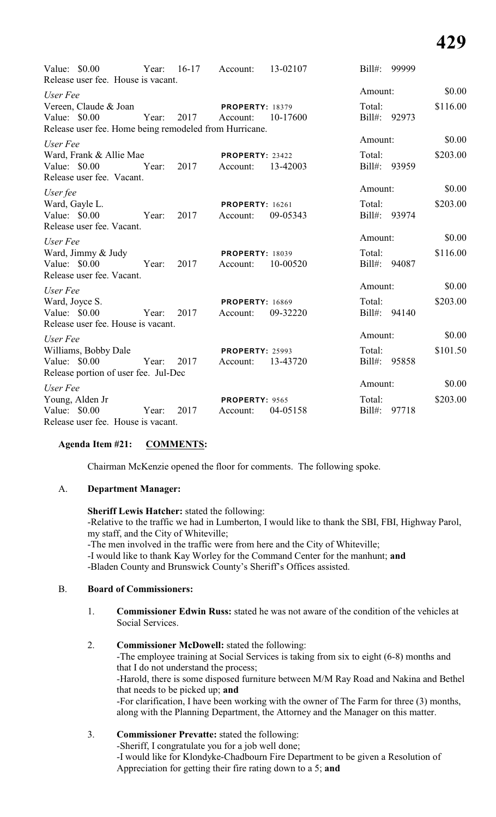| Value: $$0.00$<br>Release user fee. House is vacant.                                             |            | Year: 16-17 Account: |                                             | 13-02107 | Bill#: 99999           |          |
|--------------------------------------------------------------------------------------------------|------------|----------------------|---------------------------------------------|----------|------------------------|----------|
| User Fee                                                                                         |            |                      |                                             |          | Amount:                | \$0.00   |
| Vereen, Claude & Joan<br>Value: \$0.00<br>Release user fee. Home being remodeled from Hurricane. |            | Year: 2017 Account:  | <b>PROPERTY: 18379</b>                      | 10-17600 | Total:<br>Bill#: 92973 | \$116.00 |
| User Fee                                                                                         |            |                      |                                             |          | Amount:                | \$0.00   |
| Ward, Frank & Allie Mae<br>Value: \$0.00<br>Release user fee. Vacant.                            |            | Year: 2017 Account:  | <b>PROPERTY: 23422</b>                      | 13-42003 | Total:<br>Bill#: 93959 | \$203.00 |
| User fee                                                                                         |            |                      |                                             |          | Amount:                | \$0.00   |
| Ward, Gayle L.<br>Value: $$0.00$<br>Release user fee. Vacant.                                    |            | Year: 2017           | <b>PROPERTY: 16261</b><br>Account:          | 09-05343 | Total:<br>Bill#: 93974 | \$203.00 |
| User Fee                                                                                         |            |                      |                                             |          | Amount:                | \$0.00   |
| Ward, Jimmy & Judy<br>Value: \$0.00<br>Release user fee. Vacant.                                 |            | Year: 2017           | <b>PROPERTY: 18039</b><br>Account:          | 10-00520 | Total:<br>Bill#: 94087 | \$116.00 |
| User Fee                                                                                         |            |                      |                                             |          | Amount:                | \$0.00   |
| Ward, Joyce S.<br>Value: \$0.00<br>Release user fee. House is vacant.                            |            | Year: 2017           | <b>PROPERTY: 16869</b><br>Account:          | 09-32220 | Total:<br>Bill#: 94140 | \$203.00 |
| User Fee                                                                                         |            |                      |                                             |          | Amount:                | \$0.00   |
| Williams, Bobby Dale<br>Value: \$0.00<br>Release portion of user fee. Jul-Dec                    |            | Year: 2017           | <b>PROPERTY: 25993</b><br>Account: 13-43720 |          | Total:<br>Bill#: 95858 | \$101.50 |
| User Fee                                                                                         |            |                      |                                             |          | Amount:                | \$0.00   |
| Young, Alden Jr<br>Value: $$0.00$<br>Release user fee. House is vacant.                          | Year: 2017 |                      | PROPERTY: 9565<br>Account:                  | 04-05158 | Total:<br>Bill#: 97718 | \$203.00 |

### **Agenda Item #21: COMMENTS:**

Chairman McKenzie opened the floor for comments. The following spoke.

### A. **Department Manager:**

**Sheriff Lewis Hatcher:** stated the following: -Relative to the traffic we had in Lumberton, I would like to thank the SBI, FBI, Highway Parol, my staff, and the City of Whiteville;

-The men involved in the traffic were from here and the City of Whiteville;

-I would like to thank Kay Worley for the Command Center for the manhunt; **and**

-Bladen County and Brunswick County's Sheriff's Offices assisted.

### B. **Board of Commissioners:**

- 1. **Commissioner Edwin Russ:** stated he was not aware of the condition of the vehicles at Social Services.
- 2. **Commissioner McDowell:** stated the following:

-The employee training at Social Services is taking from six to eight (6-8) months and that I do not understand the process;

-Harold, there is some disposed furniture between M/M Ray Road and Nakina and Bethel that needs to be picked up; **and**

-For clarification, I have been working with the owner of The Farm for three (3) months, along with the Planning Department, the Attorney and the Manager on this matter.

### 3. **Commissioner Prevatte:** stated the following: -Sheriff, I congratulate you for a job well done; -I would like for Klondyke-Chadbourn Fire Department to be given a Resolution of Appreciation for getting their fire rating down to a 5; **and**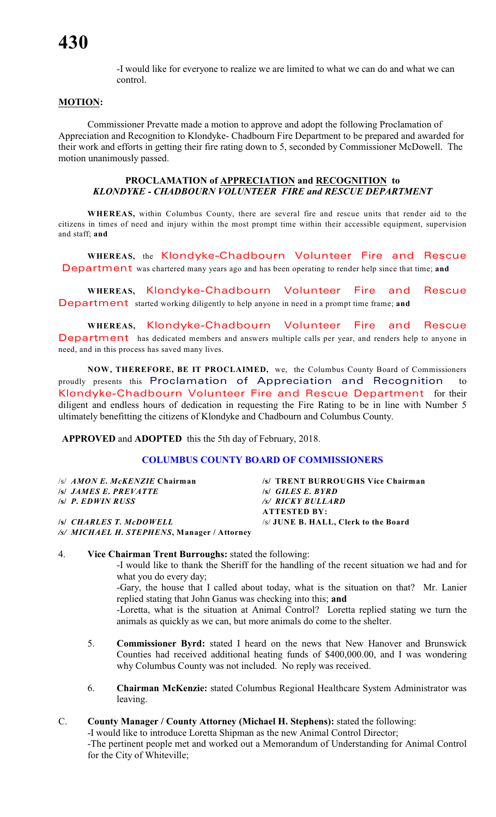-I would like for everyone to realize we are limited to what we can do and what we can control.

### **MOTION:**

Commissioner Prevatte made a motion to approve and adopt the following Proclamation of Appreciation and Recognition to Klondyke- Chadbourn Fire Department to be prepared and awarded for their work and efforts in getting their fire rating down to 5, seconded by Commissioner McDowell. The motion unanimously passed.

### **PROCLAMATION of APPRECIATION and RECOGNITION to** *KLONDYKE - CHADBOURN VOLUNTEER FIRE and RESCUE DEPARTMENT*

**WHEREAS,** within Columbus County, there are several fire and rescue units that render aid to the citizens in times of need and injury within the most prompt time within their accessible equipment, supervision and staff; **and**

**WHEREAS,** the *Klondyke-Chadbourn Vo lunteer Fire and Rescue Department* was chartered many years ago and has been operating to render help since that time; **and**

**WHEREAS,** *Klondyke-Chadbourn Vo lunteer Fire and Rescue Department* started working diligently to help anyone in need in a prompt time frame; **and**

**WHEREAS,** *Klondyke-Chadbourn Vo lunteer Fire and Rescue Department* has dedicated members and answers multiple calls per year, and renders help to anyone in need, and in this process has saved many lives.

**NOW, THEREFORE, BE IT PROCLAIMED,** we, the Columbus County Board of Commissioners proudly presents this Proclamation of Appreciation and Recognition to *Klondyke-Chadbourn Vo lunteer Fire and Rescue Department* for their diligent and endless hours of dedication in requesting the Fire Rating to be in line with Number 5 ultimately benefitting the citizens of Klondyke and Chadbourn and Columbus County.

**APPROVED** and **ADOPTED** this the 5th day of February, 2018.

### **COLUMBUS COUNTY BOARD OF COMMISSIONERS**

| /s/ <i>AMON E. McKENZIE</i> Chairman        | /s/ TRENT BURROUGHS Vice Chairman    |
|---------------------------------------------|--------------------------------------|
| <i><b>SI JAMES E. PREVATTE</b></i>          | $\mathcal{S}$ GILES E. BYRD          |
| $\mathsf{S}$ P. EDWIN RUSS                  | /s/ RICKY BULLARD                    |
|                                             | <b>ATTESTED BY:</b>                  |
| <b>S CHARLES T. McDOWELL</b>                | /s/ JUNE B. HALL, Clerk to the Board |
| /s/ MICHAEL H. STEPHENS, Manager / Attorney |                                      |

### 4. **Vice Chairman Trent Burroughs:** stated the following:

-I would like to thank the Sheriff for the handling of the recent situation we had and for what you do every day;

-Gary, the house that I called about today, what is the situation on that? Mr. Lanier replied stating that John Ganus was checking into this; **and**

-Loretta, what is the situation at Animal Control? Loretta replied stating we turn the animals as quickly as we can, but more animals do come to the shelter.

- 5. **Commissioner Byrd:** stated I heard on the news that New Hanover and Brunswick Counties had received additional heating funds of \$400,000.00, and I was wondering why Columbus County was not included. No reply was received.
- 6. **Chairman McKenzie:** stated Columbus Regional Healthcare System Administrator was leaving.

### C. **County Manager / County Attorney (Michael H. Stephens):** stated the following:

-I would like to introduce Loretta Shipman as the new Animal Control Director;

-The pertinent people met and worked out a Memorandum of Understanding for Animal Control for the City of Whiteville;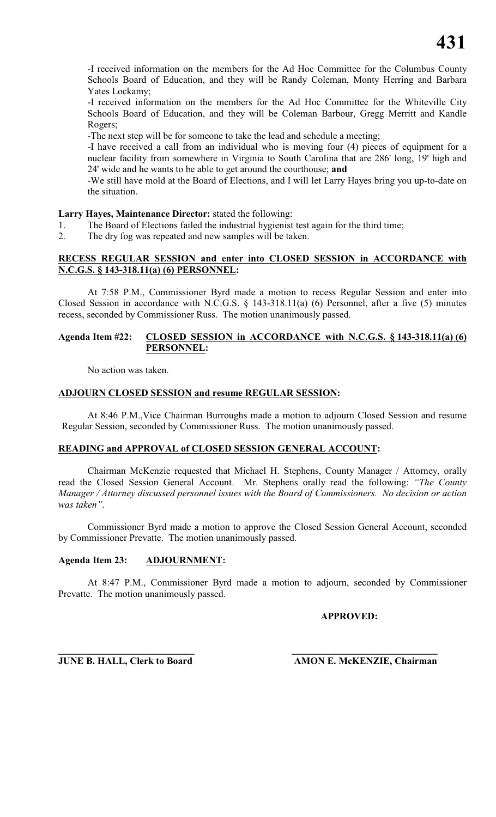-I received information on the members for the Ad Hoc Committee for the Columbus County Schools Board of Education, and they will be Randy Coleman, Monty Herring and Barbara Yates Lockamy;

-I received information on the members for the Ad Hoc Committee for the Whiteville City Schools Board of Education, and they will be Coleman Barbour, Gregg Merritt and Kandle Rogers;

-The next step will be for someone to take the lead and schedule a meeting;

-I have received a call from an individual who is moving four (4) pieces of equipment for a nuclear facility from somewhere in Virginia to South Carolina that are 286' long, 19' high and 24' wide and he wants to be able to get around the courthouse; **and**

-We still have mold at the Board of Elections, and I will let Larry Hayes bring you up-to-date on the situation.

### **Larry Hayes, Maintenance Director:** stated the following:

- 1. The Board of Elections failed the industrial hygienist test again for the third time;
- 2. The dry fog was repeated and new samples will be taken.

### **RECESS REGULAR SESSION and enter into CLOSED SESSION in ACCORDANCE with N.C.G.S. § 143-318.11(a) (6) PERSONNEL:**

At 7:58 P.M., Commissioner Byrd made a motion to recess Regular Session and enter into Closed Session in accordance with N.C.G.S. § 143-318.11(a) (6) Personnel, after a five (5) minutes recess, seconded by Commissioner Russ. The motion unanimously passed.

### **Agenda Item #22: CLOSED SESSION in ACCORDANCE with N.C.G.S. § 143-318.11(a) (6) PERSONNEL:**

No action was taken.

### **ADJOURN CLOSED SESSION and resume REGULAR SESSION:**

At 8:46 P.M.,Vice Chairman Burroughs made a motion to adjourn Closed Session and resume Regular Session, seconded by Commissioner Russ. The motion unanimously passed.

### **READING and APPROVAL of CLOSED SESSION GENERAL ACCOUNT:**

Chairman McKenzie requested that Michael H. Stephens, County Manager / Attorney, orally read the Closed Session General Account. Mr. Stephens orally read the following: *"The County Manager / Attorney discussed personnel issues with the Board of Commissioners. No decision or action was taken"*.

Commissioner Byrd made a motion to approve the Closed Session General Account, seconded by Commissioner Prevatte. The motion unanimously passed.

### **Agenda Item 23: ADJOURNMENT:**

At 8:47 P.M., Commissioner Byrd made a motion to adjourn, seconded by Commissioner Prevatte. The motion unanimously passed.

### **APPROVED:**

**\_\_\_\_\_\_\_\_\_\_\_\_\_\_\_\_\_\_\_\_\_\_\_\_\_\_\_\_ \_\_\_\_\_\_\_\_\_\_\_\_\_\_\_\_\_\_\_\_\_\_\_\_\_\_\_\_\_\_ JUNE B. HALL, Clerk to Board AMON E. McKENZIE, Chairman**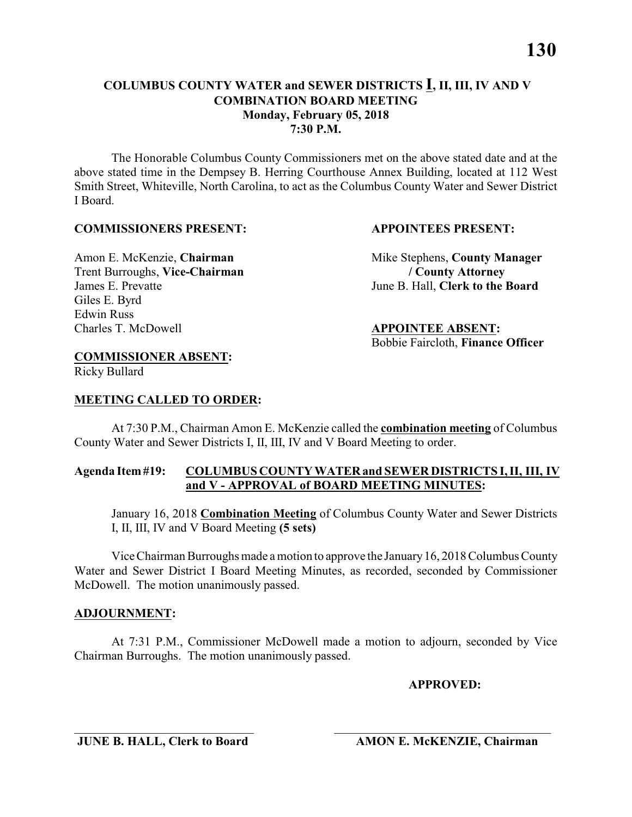The Honorable Columbus County Commissioners met on the above stated date and at the above stated time in the Dempsey B. Herring Courthouse Annex Building, located at 112 West Smith Street, Whiteville, North Carolina, to act as the Columbus County Water and Sewer District I Board.

### **COMMISSIONERS PRESENT: APPOINTEES PRESENT:**

Trent Burroughs, **Vice-Chairman / County Attorney** James E. Prevatte June B. Hall, **Clerk to the Board** Giles E. Byrd Edwin Russ<br>Charles T. McDowell

Amon E. McKenzie, **Chairman** Mike Stephens, **County Manager** 

Charles T. McDowell **APPOINTEE ABSENT:** Bobbie Faircloth, **Finance Officer**

### **COMMISSIONER ABSENT:**

Ricky Bullard

### **MEETING CALLED TO ORDER:**

At 7:30 P.M., Chairman Amon E. McKenzie called the **combination meeting** of Columbus County Water and Sewer Districts I, II, III, IV and V Board Meeting to order.

### **Agenda Item #19: COLUMBUS COUNTY WATER and SEWER DISTRICTS I, II, III, IV and V - APPROVAL of BOARD MEETING MINUTES:**

January 16, 2018 **Combination Meeting** of Columbus County Water and Sewer Districts I, II, III, IV and V Board Meeting **(5 sets)**

Vice Chairman Burroughs made a motion to approve the January 16, 2018 Columbus County Water and Sewer District I Board Meeting Minutes, as recorded, seconded by Commissioner McDowell. The motion unanimously passed.

### **ADJOURNMENT:**

At 7:31 P.M., Commissioner McDowell made a motion to adjourn, seconded by Vice Chairman Burroughs. The motion unanimously passed.

### **APPROVED:**

\_\_\_\_\_\_\_\_\_\_\_\_\_\_\_\_\_\_\_\_\_\_\_\_\_\_\_\_\_ \_\_\_\_\_\_\_\_\_\_\_\_\_\_\_\_\_\_\_\_\_\_\_\_\_\_\_\_\_\_\_\_\_\_\_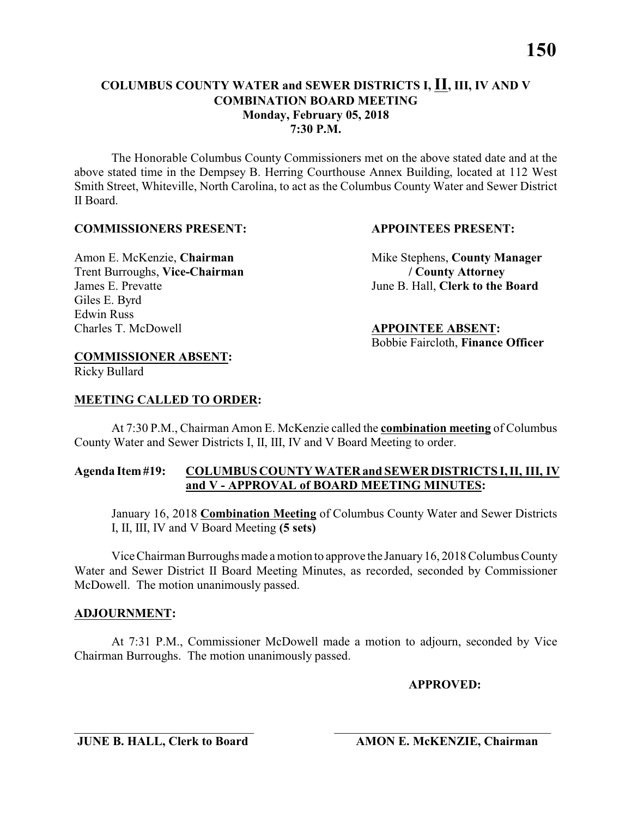The Honorable Columbus County Commissioners met on the above stated date and at the above stated time in the Dempsey B. Herring Courthouse Annex Building, located at 112 West Smith Street, Whiteville, North Carolina, to act as the Columbus County Water and Sewer District II Board.

### **COMMISSIONERS PRESENT: APPOINTEES PRESENT:**

Amon E. McKenzie, **Chairman** Mike Stephens, **County Manager** Trent Burroughs, **Vice-Chairman / County Attorney** James E. Prevatte June B. Hall, **Clerk to the Board**

> Charles T. McDowell **APPOINTEE ABSENT:** Bobbie Faircloth, **Finance Officer**

### **COMMISSIONER ABSENT:**

Ricky Bullard

Giles E. Byrd

Edwin Russ<br>Charles T. McDowell

### **MEETING CALLED TO ORDER:**

At 7:30 P.M., Chairman Amon E. McKenzie called the **combination meeting** of Columbus County Water and Sewer Districts I, II, III, IV and V Board Meeting to order.

### **Agenda Item #19: COLUMBUS COUNTY WATER and SEWER DISTRICTS I, II, III, IV and V - APPROVAL of BOARD MEETING MINUTES:**

January 16, 2018 **Combination Meeting** of Columbus County Water and Sewer Districts I, II, III, IV and V Board Meeting **(5 sets)**

Vice Chairman Burroughs made a motion to approve the January 16, 2018 Columbus County Water and Sewer District II Board Meeting Minutes, as recorded, seconded by Commissioner McDowell. The motion unanimously passed.

### **ADJOURNMENT:**

At 7:31 P.M., Commissioner McDowell made a motion to adjourn, seconded by Vice Chairman Burroughs. The motion unanimously passed.

### **APPROVED:**

\_\_\_\_\_\_\_\_\_\_\_\_\_\_\_\_\_\_\_\_\_\_\_\_\_\_\_\_\_ \_\_\_\_\_\_\_\_\_\_\_\_\_\_\_\_\_\_\_\_\_\_\_\_\_\_\_\_\_\_\_\_\_\_\_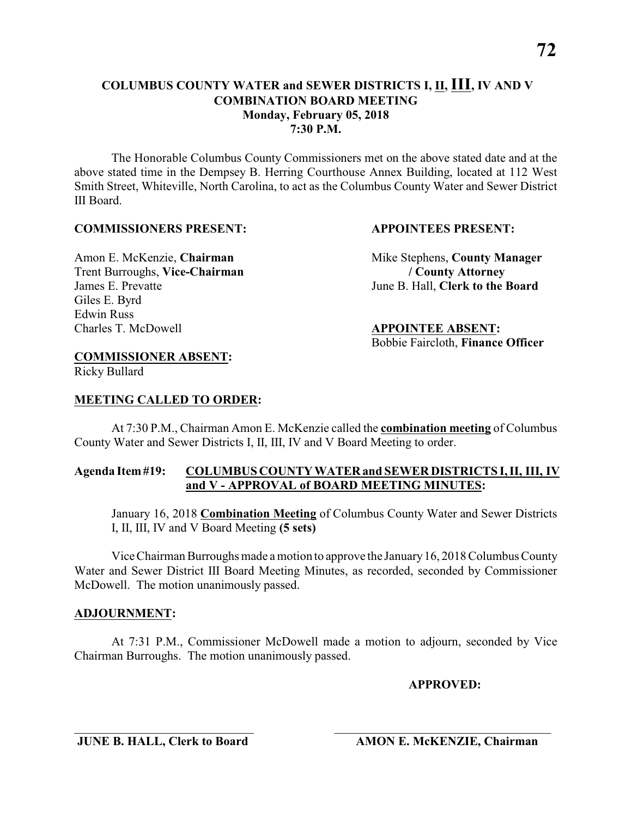The Honorable Columbus County Commissioners met on the above stated date and at the above stated time in the Dempsey B. Herring Courthouse Annex Building, located at 112 West Smith Street, Whiteville, North Carolina, to act as the Columbus County Water and Sewer District III Board.

### **COMMISSIONERS PRESENT: APPOINTEES PRESENT:**

## Trent Burroughs, **Vice-Chairman / County Attorney** James E. Prevatte June B. Hall, **Clerk to the Board** Giles E. Byrd Edwin Russ<br>Charles T. McDowell

Amon E. McKenzie, **Chairman** Mike Stephens, **County Manager** 

Charles T. McDowell **APPOINTEE ABSENT:** Bobbie Faircloth, **Finance Officer**

### **COMMISSIONER ABSENT:**

Ricky Bullard

### **MEETING CALLED TO ORDER:**

At 7:30 P.M., Chairman Amon E. McKenzie called the **combination meeting** of Columbus County Water and Sewer Districts I, II, III, IV and V Board Meeting to order.

### **Agenda Item #19: COLUMBUS COUNTY WATER and SEWER DISTRICTS I, II, III, IV and V - APPROVAL of BOARD MEETING MINUTES:**

January 16, 2018 **Combination Meeting** of Columbus County Water and Sewer Districts I, II, III, IV and V Board Meeting **(5 sets)**

Vice Chairman Burroughs made a motion to approve the January 16, 2018 Columbus County Water and Sewer District III Board Meeting Minutes, as recorded, seconded by Commissioner McDowell. The motion unanimously passed.

### **ADJOURNMENT:**

At 7:31 P.M., Commissioner McDowell made a motion to adjourn, seconded by Vice Chairman Burroughs. The motion unanimously passed.

### **APPROVED:**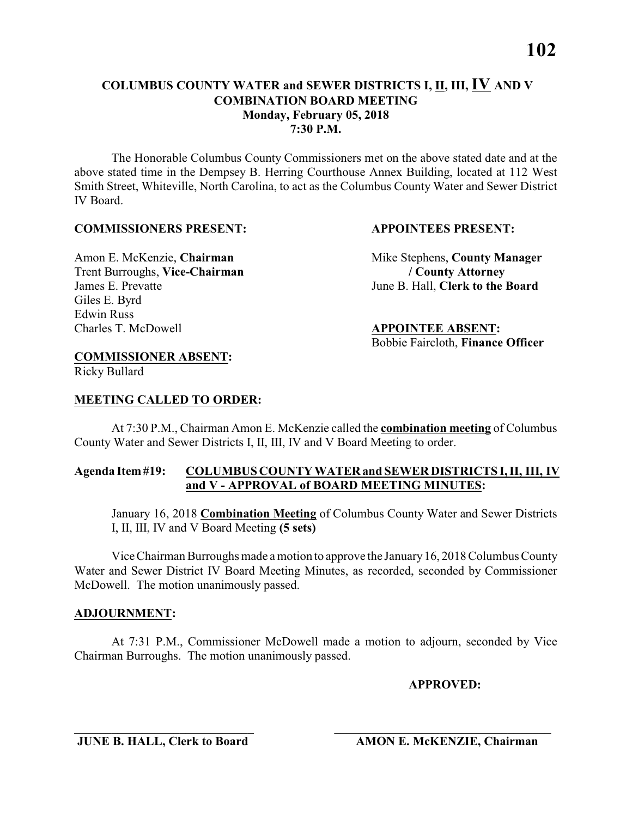The Honorable Columbus County Commissioners met on the above stated date and at the above stated time in the Dempsey B. Herring Courthouse Annex Building, located at 112 West Smith Street, Whiteville, North Carolina, to act as the Columbus County Water and Sewer District IV Board.

### **COMMISSIONERS PRESENT: APPOINTEES PRESENT:**

Trent Burroughs, **Vice-Chairman / County Attorney** James E. Prevatte June B. Hall, **Clerk to the Board** Giles E. Byrd Edwin Russ<br>Charles T. McDowell

Amon E. McKenzie, **Chairman** Mike Stephens, **County Manager** 

Charles T. McDowell **APPOINTEE ABSENT:** Bobbie Faircloth, **Finance Officer**

### **COMMISSIONER ABSENT:**

Ricky Bullard

### **MEETING CALLED TO ORDER:**

At 7:30 P.M., Chairman Amon E. McKenzie called the **combination meeting** of Columbus County Water and Sewer Districts I, II, III, IV and V Board Meeting to order.

### **Agenda Item #19: COLUMBUS COUNTY WATER and SEWER DISTRICTS I, II, III, IV and V - APPROVAL of BOARD MEETING MINUTES:**

January 16, 2018 **Combination Meeting** of Columbus County Water and Sewer Districts I, II, III, IV and V Board Meeting **(5 sets)**

Vice Chairman Burroughs made a motion to approve the January 16, 2018 Columbus County Water and Sewer District IV Board Meeting Minutes, as recorded, seconded by Commissioner McDowell. The motion unanimously passed.

### **ADJOURNMENT:**

At 7:31 P.M., Commissioner McDowell made a motion to adjourn, seconded by Vice Chairman Burroughs. The motion unanimously passed.

### **APPROVED:**